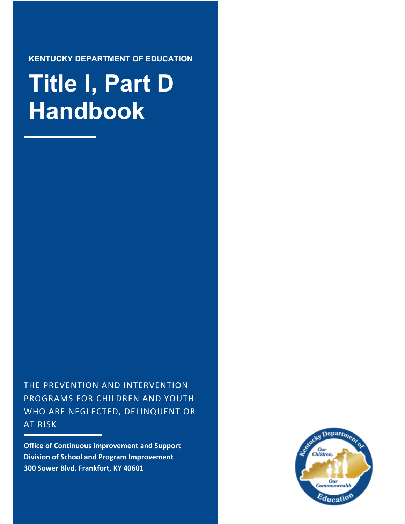**KENTUCKY DEPARTMENT OF EDUCATION**

# **Title I, Part D Handbook**

THE PREVENTION AND INTERVENTION PROGRAMS FOR CHILDREN AND YOUTH WHO ARE NEGLECTED, DELINQUENT OR AT RISK

**Office of Continuous Improvement and Support Division of School and Program Improvement 300 Sower Blvd. Frankfort, KY 40601**

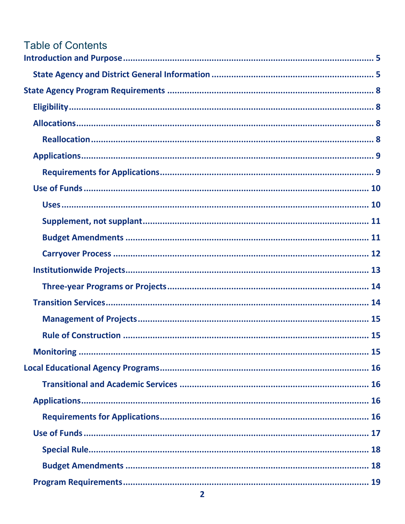| Table of Contents |  |
|-------------------|--|
|                   |  |
|                   |  |
|                   |  |
|                   |  |
|                   |  |
|                   |  |
|                   |  |
|                   |  |
|                   |  |
|                   |  |
|                   |  |
|                   |  |
|                   |  |
|                   |  |
|                   |  |
|                   |  |
|                   |  |
|                   |  |
|                   |  |
|                   |  |
|                   |  |
|                   |  |
|                   |  |
|                   |  |
|                   |  |
|                   |  |
|                   |  |
|                   |  |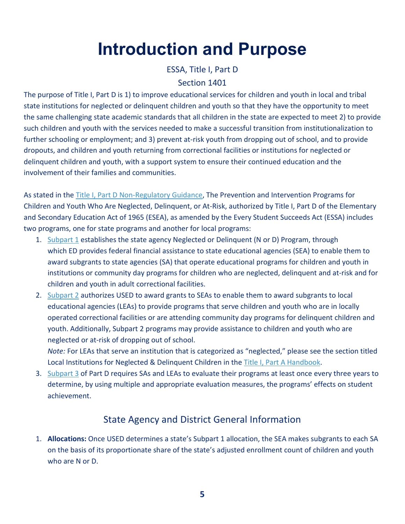# **Introduction and Purpose**

ESSA, Title I, Part D

#### Section 1401

<span id="page-4-0"></span>The purpose of Title I, Part D is 1) to improve educational services for children and youth in local and tribal state institutions for neglected or delinquent children and youth so that they have the opportunity to meet the same challenging state academic standards that all children in the state are expected to meet 2) to provide such children and youth with the services needed to make a successful transition from institutionalization to further schooling or employment; and 3) prevent at-risk youth from dropping out of school, and to provide dropouts, and children and youth returning from correctional facilities or institutions for neglected or delinquent children and youth, with a support system to ensure their continued education and the involvement of their families and communities.

As stated in the [Title I, Part D Non-Regulatory Guidance,](https://neglected-delinquent.ed.gov/sites/default/files/docs/nonregulatoryguidance_FINAL.pdf) The Prevention and Intervention Programs for Children and Youth Who Are Neglected, Delinquent, or At-Risk, authorized by Title I, Part D of the Elementary and Secondary Education Act of 1965 (ESEA), as amended by the Every Student Succeeds Act (ESSA) includes two programs, one for state programs and another for local programs:

- 1. [Subpart 1](https://neglected-delinquent.ed.gov/title-i-part-d-nonregulatory-guidance-state-agency-programs-part-d-subpart-1) establishes the state agency Neglected or Delinquent (N or D) Program, through which ED provides federal financial assistance to state educational agencies (SEA) to enable them to award subgrants to state agencies (SA) that operate educational programs for children and youth in institutions or community day programs for children who are neglected, delinquent and at-risk and for children and youth in adult correctional facilities.
- 2. [Subpart 2](https://neglected-delinquent.ed.gov/title-i-part-d-nonregulatory-guidance-local-programs-risk-youth-part-d-subpart-2) authorizes USED to award grants to SEAs to enable them to award subgrants to local educational agencies (LEAs) to provide programs that serve children and youth who are in locally operated correctional facilities or are attending community day programs for delinquent children and youth. Additionally, Subpart 2 programs may provide assistance to children and youth who are neglected or at-risk of dropping out of school.

*Note:* For LEAs that serve an institution that is categorized as "neglected," please see the section titled Local Institutions for Neglected & Delinquent Children in the [Title I, Part A Handbook.](https://education.ky.gov/federal/progs/tia/Documents/Title%20I%20Part%20A%20Handbook.pdf)

3. [Subpart 3](https://neglected-delinquent.ed.gov/title-i-part-d-nonregulatory-guidance-program-evaluations-part-d-subpart-3) of Part D requires SAs and LEAs to evaluate their programs at least once every three years to determine, by using multiple and appropriate evaluation measures, the programs' effects on student achievement.

# State Agency and District General Information

<span id="page-4-1"></span>1. **Allocations:** Once USED determines a state's Subpart 1 allocation, the SEA makes subgrants to each SA on the basis of its proportionate share of the state's adjusted enrollment count of children and youth who are N or D.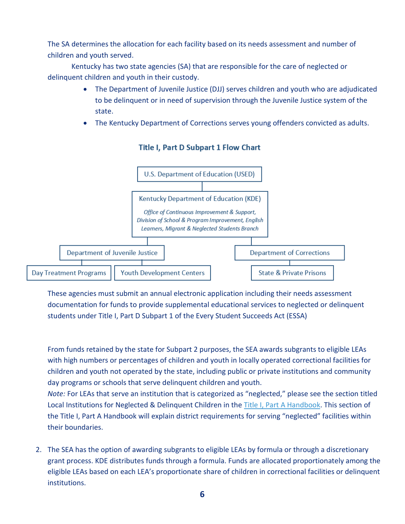The SA determines the allocation for each facility based on its needs assessment and number of children and youth served.

Kentucky has two state agencies (SA) that are responsible for the care of neglected or delinquent children and youth in their custody.

- The Department of Juvenile Justice (DJJ) serves children and youth who are adjudicated to be delinquent or in need of supervision through the Juvenile Justice system of the state.
- The Kentucky Department of Corrections serves young offenders convicted as adults.



#### **Title I, Part D Subpart 1 Flow Chart**

These agencies must submit an annual electronic application including their needs assessment documentation for funds to provide supplemental educational services to neglected or delinquent students under Title I, Part D Subpart 1 of the Every Student Succeeds Act (ESSA)

From funds retained by the state for Subpart 2 purposes, the SEA awards subgrants to eligible LEAs with high numbers or percentages of children and youth in locally operated correctional facilities for children and youth not operated by the state, including public or private institutions and community day programs or schools that serve delinquent children and youth.

*Note:* For LEAs that serve an institution that is categorized as "neglected," please see the section titled Local Institutions for Neglected & Delinquent Children in the [Title I, Part A Handbook.](https://education.ky.gov/federal/progs/tia/Documents/Title%20I%20Part%20A%20Handbook.pdf) This section of the Title I, Part A Handbook will explain district requirements for serving "neglected" facilities within their boundaries.

2. The SEA has the option of awarding subgrants to eligible LEAs by formula or through a discretionary grant process. KDE distributes funds through a formula. Funds are allocated proportionately among the eligible LEAs based on each LEA's proportionate share of children in correctional facilities or delinquent institutions.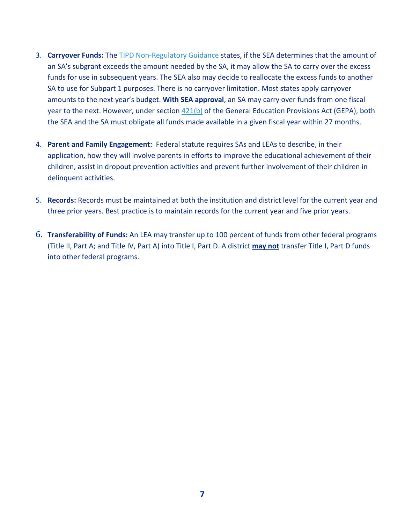- 3. **Carryover Funds:** The [TIPD Non-Regulatory Guidance](https://neglected-delinquent.ed.gov/sites/default/files/docs/nonregulatoryguidance_FINAL.pdf) states, if the SEA determines that the amount of an SA's subgrant exceeds the amount needed by the SA, it may allow the SA to carry over the excess funds for use in subsequent years. The SEA also may decide to reallocate the excess funds to another SA to use for Subpart 1 purposes. There is no carryover limitation. Most states apply carryover amounts to the next year's budget. **With SEA approval**, an SA may carry over funds from one fiscal year to the next. However, under section  $421(b)$  of the General Education Provisions Act (GEPA), both the SEA and the SA must obligate all funds made available in a given fiscal year within 27 months.
- 4. **Parent and Family Engagement:** Federal statute requires SAs and LEAs to describe, in their application, how they will involve parents in efforts to improve the educational achievement of their children, assist in dropout prevention activities and prevent further involvement of their children in delinquent activities.
- 5. **Records:** Records must be maintained at both the institution and district level for the current year and three prior years. Best practice is to maintain records for the current year and five prior years.
- 6. **Transferability of Funds:** An LEA may transfer up to 100 percent of funds from other federal programs (Title II, Part A; and Title IV, Part A) into Title I, Part D. A district **may not** transfer Title I, Part D funds into other federal programs.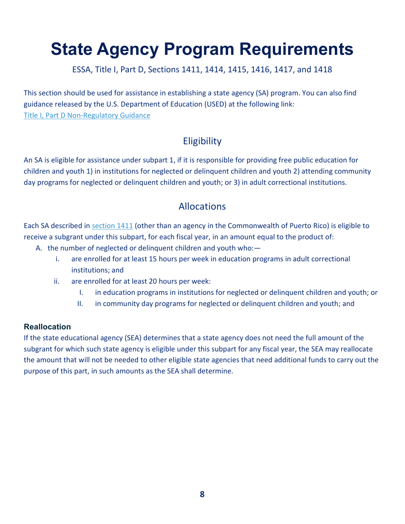# <span id="page-7-0"></span>**State Agency Program Requirements**

ESSA, Title I, Part D, Sections 1411, 1414, 1415, 1416, 1417, and 1418

This section should be used for assistance in establishing a state agency (SA) program. You can also find guidance released by the U.S. Department of Education (USED) at the following link: [Title I, Part D Non-Regulatory Guidance](https://neglected-delinquent.ed.gov/sites/default/files/docs/nonregulatoryguidance_FINAL.pdf)

# **Eligibility**

<span id="page-7-1"></span>An SA is eligible for assistance under subpart 1, if it is responsible for providing free public education for children and youth 1) in institutions for neglected or delinquent children and youth 2) attending community day programs for neglected or delinquent children and youth; or 3) in adult correctional institutions.

# Allocations

<span id="page-7-2"></span>Each SA described in [section 1411](https://neglected-delinquent.ed.gov/title-i-part-d-statute#sec1411) (other than an agency in the Commonwealth of Puerto Rico) is eligible to receive a subgrant under this subpart, for each fiscal year, in an amount equal to the product of:

- A. the number of neglected or delinquent children and youth who:
	- i. are enrolled for at least 15 hours per week in education programs in adult correctional institutions; and
	- ii. are enrolled for at least 20 hours per week:
		- I. in education programs in institutions for neglected or delinquent children and youth; or
		- II. in community day programs for neglected or delinquent children and youth; and

#### <span id="page-7-3"></span>**Reallocation**

If the state educational agency (SEA) determines that a state agency does not need the full amount of the subgrant for which such state agency is eligible under this subpart for any fiscal year, the SEA may reallocate the amount that will not be needed to other eligible state agencies that need additional funds to carry out the purpose of this part, in such amounts as the SEA shall determine.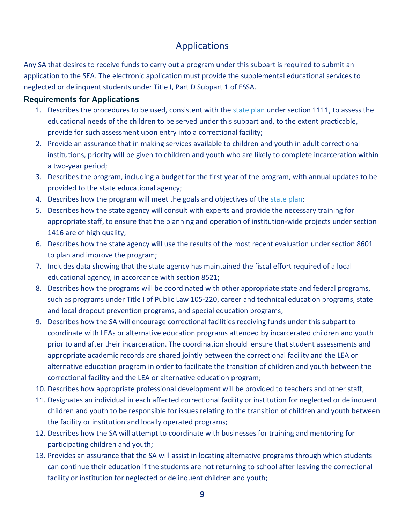# Applications

<span id="page-8-0"></span>Any SA that desires to receive funds to carry out a program under this subpart is required to submit an application to the SEA. The electronic application must provide the supplemental educational services to neglected or delinquent students under Title I, Part D Subpart 1 of ESSA.

#### <span id="page-8-1"></span>**Requirements for Applications**

- 1. Describes the procedures to be used, consistent with the [state plan](https://education.ky.gov/comm/Documents/Kentucky%20ESEA%20plan%20for%20website041118.pdf) under section 1111, to assess the educational needs of the children to be served under this subpart and, to the extent practicable, provide for such assessment upon entry into a correctional facility;
- 2. Provide an assurance that in making services available to children and youth in adult correctional institutions, priority will be given to children and youth who are likely to complete incarceration within a two-year period;
- 3. Describes the program, including a budget for the first year of the program, with annual updates to be provided to the state educational agency;
- 4. Describes how the program will meet the goals and objectives of the [state plan;](https://education.ky.gov/comm/Documents/Kentucky%20ESEA%20plan%20for%20website041118.pdf)
- 5. Describes how the state agency will consult with experts and provide the necessary training for appropriate staff, to ensure that the planning and operation of institution-wide projects under section 1416 are of high quality;
- 6. Describes how the state agency will use the results of the most recent evaluation under section 8601 to plan and improve the program;
- 7. Includes data showing that the state agency has maintained the fiscal effort required of a local educational agency, in accordance with section 8521;
- 8. Describes how the programs will be coordinated with other appropriate state and federal programs, such as programs under Title I of Public Law 105-220, career and technical education programs, state and local dropout prevention programs, and special education programs;
- 9. Describes how the SA will encourage correctional facilities receiving funds under this subpart to coordinate with LEAs or alternative education programs attended by incarcerated children and youth prior to and after their incarceration. The coordination should ensure that student assessments and appropriate academic records are shared jointly between the correctional facility and the LEA or alternative education program in order to facilitate the transition of children and youth between the correctional facility and the LEA or alternative education program;
- 10. Describes how appropriate professional development will be provided to teachers and other staff;
- 11. Designates an individual in each affected correctional facility or institution for neglected or delinquent children and youth to be responsible for issues relating to the transition of children and youth between the facility or institution and locally operated programs;
- 12. Describes how the SA will attempt to coordinate with businesses for training and mentoring for participating children and youth;
- 13. Provides an assurance that the SA will assist in locating alternative programs through which students can continue their education if the students are not returning to school after leaving the correctional facility or institution for neglected or delinquent children and youth;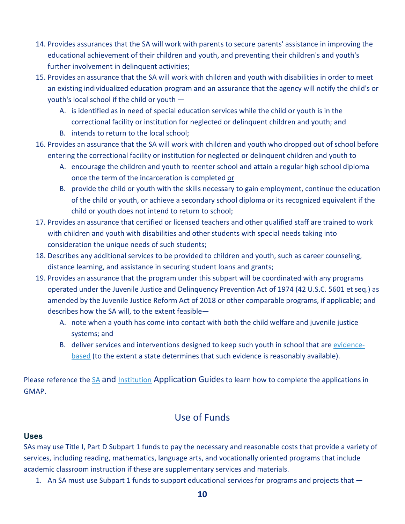- 14. Provides assurances that the SA will work with parents to secure parents' assistance in improving the educational achievement of their children and youth, and preventing their children's and youth's further involvement in delinquent activities;
- 15. Provides an assurance that the SA will work with children and youth with disabilities in order to meet an existing individualized education program and an assurance that the agency will notify the child's or youth's local school if the child or youth —
	- A. is identified as in need of special education services while the child or youth is in the correctional facility or institution for neglected or delinquent children and youth; and
	- B. intends to return to the local school;
- 16. Provides an assurance that the SA will work with children and youth who dropped out of school before entering the correctional facility or institution for neglected or delinquent children and youth to
	- A. encourage the children and youth to reenter school and attain a regular high school diploma once the term of the incarceration is completed or
	- B. provide the child or youth with the skills necessary to gain employment, continue the education of the child or youth, or achieve a secondary school diploma or its recognized equivalent if the child or youth does not intend to return to school;
- 17. Provides an assurance that certified or licensed teachers and other qualified staff are trained to work with children and youth with disabilities and other students with special needs taking into consideration the unique needs of such students;
- 18. Describes any additional services to be provided to children and youth, such as career counseling, distance learning, and assistance in securing student loans and grants;
- 19. Provides an assurance that the program under this subpart will be coordinated with any programs operated under the Juvenile Justice and Delinquency Prevention Act of 1974 (42 U.S.C. 5601 et seq.) as amended by the Juvenile Justice Reform Act of 2018 or other comparable programs, if applicable; and describes how the SA will, to the extent feasible—
	- A. note when a youth has come into contact with both the child welfare and juvenile justice systems; and
	- B. deliver services and interventions designed to keep such youth in school that are [evidence](https://education.ky.gov/school/evidence/Pages/default.aspx)[based](https://education.ky.gov/school/evidence/Pages/default.aspx) (to the extent a state determines that such evidence is reasonably available).

Please reference the [SA](https://education.ky.gov/federal/progs/tid/Documents/SA%20Grant%20Management%20Application%20Planning%20System%20Guide.pdf) and [Institution](https://education.ky.gov/federal/progs/tid/Documents/Subpart%201%20Institution%20Grant%20Management%20Application%20Planning%20System%20Guide.pdf) Application Guides to learn how to complete the applications in GMAP.

### Use of Funds

#### <span id="page-9-1"></span><span id="page-9-0"></span>**Uses**

SAs may use Title I, Part D Subpart 1 funds to pay the necessary and reasonable costs that provide a variety of services, including reading, mathematics, language arts, and vocationally oriented programs that include academic classroom instruction if these are supplementary services and materials.

1. An SA must use Subpart 1 funds to support educational services for programs and projects that —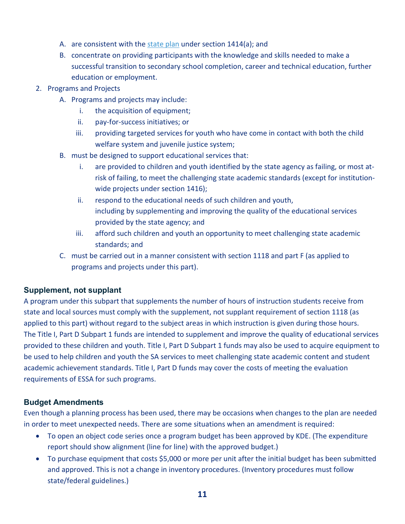- A. are consistent with the [state plan](https://education.ky.gov/comm/Documents/Kentucky%20ESEA%20plan%20for%20website041118.pdf) under section 1414(a); and
- B. concentrate on providing participants with the knowledge and skills needed to make a successful transition to secondary school completion, career and technical education, further education or employment.
- 2. Programs and Projects
	- A. Programs and projects may include:
		- i. the acquisition of equipment;
		- ii. pay-for-success initiatives; or
		- iii. providing targeted services for youth who have come in contact with both the child welfare system and juvenile justice system;
	- B. must be designed to support educational services that:
		- i. are provided to children and youth identified by the state agency as failing, or most atrisk of failing, to meet the challenging state academic standards (except for institutionwide projects under section 1416);
		- ii. respond to the educational needs of such children and youth, including by supplementing and improving the quality of the educational services provided by the state agency; and
		- iii. afford such children and youth an opportunity to meet challenging state academic standards; and
	- C. must be carried out in a manner consistent with section 1118 and part F (as applied to programs and projects under this part).

#### <span id="page-10-0"></span>**Supplement, not supplant**

A program under this subpart that supplements the number of hours of instruction students receive from state and local sources must comply with the supplement, not supplant requirement of section 1118 (as applied to this part) without regard to the subject areas in which instruction is given during those hours. The Title I, Part D Subpart 1 funds are intended to supplement and improve the quality of educational services provided to these children and youth. Title I, Part D Subpart 1 funds may also be used to acquire equipment to be used to help children and youth the SA services to meet challenging state academic content and student academic achievement standards. Title I, Part D funds may cover the costs of meeting the evaluation requirements of ESSA for such programs.

#### <span id="page-10-1"></span>**Budget Amendments**

Even though a planning process has been used, there may be occasions when changes to the plan are needed in order to meet unexpected needs. There are some situations when an amendment is required:

- To open an object code series once a program budget has been approved by KDE. (The expenditure report should show alignment (line for line) with the approved budget.)
- To purchase equipment that costs \$5,000 or more per unit after the initial budget has been submitted and approved. This is not a change in inventory procedures. (Inventory procedures must follow state/federal guidelines.)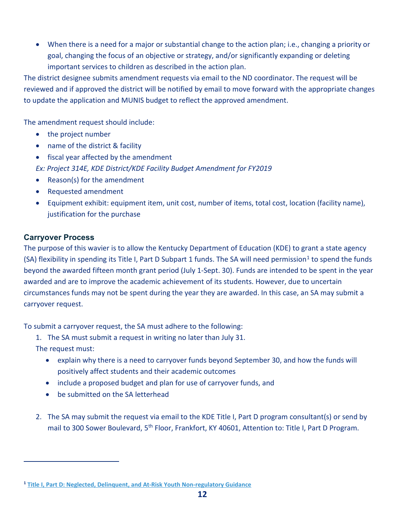• When there is a need for a major or substantial change to the action plan; i.e., changing a priority or goal, changing the focus of an objective or strategy, and/or significantly expanding or deleting important services to children as described in the action plan.

The district designee submits amendment requests via email to the ND coordinator. The request will be reviewed and if approved the district will be notified by email to move forward with the appropriate changes to update the application and MUNIS budget to reflect the approved amendment.

The amendment request should include:

- the project number
- name of the district & facility
- fiscal year affected by the amendment

*Ex: Project 314E, KDE District/KDE Facility Budget Amendment for FY2019*

- Reason(s) for the amendment
- Requested amendment
- Equipment exhibit: equipment item, unit cost, number of items, total cost, location (facility name), justification for the purchase

#### <span id="page-11-0"></span>**Carryover Process**

The purpose of this wavier is to allow the Kentucky Department of Education (KDE) to grant a state agency (SA) flexibility in spending its Title I, Part D Subpart [1](#page-11-1) funds. The SA will need permission<sup>1</sup> to spend the funds beyond the awarded fifteen month grant period (July 1-Sept. 30). Funds are intended to be spent in the year awarded and are to improve the academic achievement of its students. However, due to uncertain circumstances funds may not be spent during the year they are awarded. In this case, an SA may submit a carryover request.

To submit a carryover request, the SA must adhere to the following:

1. The SA must submit a request in writing no later than July 31.

The request must:

- explain why there is a need to carryover funds beyond September 30, and how the funds will positively affect students and their academic outcomes
- include a proposed budget and plan for use of carryover funds, and
- be submitted on the SA letterhead
- 2. The SA may submit the request via email to the KDE Title I, Part D program consultant(s) or send by mail to 300 Sower Boulevard, 5<sup>th</sup> Floor, Frankfort, KY 40601, Attention to: Title I, Part D Program.

<span id="page-11-1"></span>**<sup>1</sup> [Title I, Part D: Neglected, Delinquent, and At-Risk Youth Non-regulatory Guidance](https://neglected-delinquent.ed.gov/sites/default/files/docs/nonregulatoryguidance_FINAL.pdf)**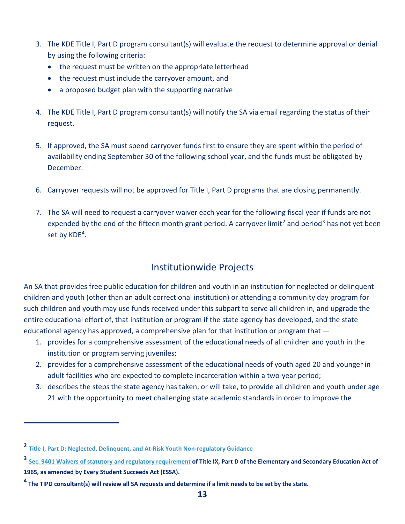- 3. The KDE Title I, Part D program consultant(s) will evaluate the request to determine approval or denial by using the following criteria:
	- the request must be written on the appropriate letterhead
	- the request must include the carryover amount, and
	- a proposed budget plan with the supporting narrative
- 4. The KDE Title I, Part D program consultant(s) will notify the SA via email regarding the status of their request.
- 5. If approved, the SA must spend carryover funds first to ensure they are spent within the period of availability ending September 30 of the following school year, and the funds must be obligated by December.
- 6. Carryover requests will not be approved for Title I, Part D programs that are closing permanently.
- 7. The SA will need to request a carryover waiver each year for the following fiscal year if funds are not expended by the end of the fifteen month grant period. A carryover limit<sup>[2](#page-12-1)</sup> and period<sup>[3](#page-12-2)</sup> has not yet been set by KDE<sup>4</sup>.

## Institutionwide Projects

<span id="page-12-0"></span>An SA that provides free public education for children and youth in an institution for neglected or delinquent children and youth (other than an adult correctional institution) or attending a community day program for such children and youth may use funds received under this subpart to serve all children in, and upgrade the entire educational effort of, that institution or program if the state agency has developed, and the state educational agency has approved, a comprehensive plan for that institution or program that —

- 1. provides for a comprehensive assessment of the educational needs of all children and youth in the institution or program serving juveniles;
- 2. provides for a comprehensive assessment of the educational needs of youth aged 20 and younger in adult facilities who are expected to complete incarceration within a two-year period;
- 3. describes the steps the state agency has taken, or will take, to provide all children and youth under age 21 with the opportunity to meet challenging state academic standards in order to improve the

<span id="page-12-1"></span>**<sup>2</sup> [Title I, Part D: Neglected, Delinquent, and At-Risk Youth Non-regulatory Guidance](https://neglected-delinquent.ed.gov/sites/default/files/docs/nonregulatoryguidance_FINAL.pdf)**

<span id="page-12-2"></span>**<sup>3</sup> [Sec. 9401 Waivers of statutory and regulatory requirement](https://www2.ed.gov/policy/elsec/leg/esea02/pg110.html) of Title IX, Part D of the Elementary and Secondary Education Act of 1965, as amended by Every Student Succeeds Act (ESSA).**

<span id="page-12-3"></span>**<sup>4</sup> The TIPD consultant(s) will review all SA requests and determine if a limit needs to be set by the state.**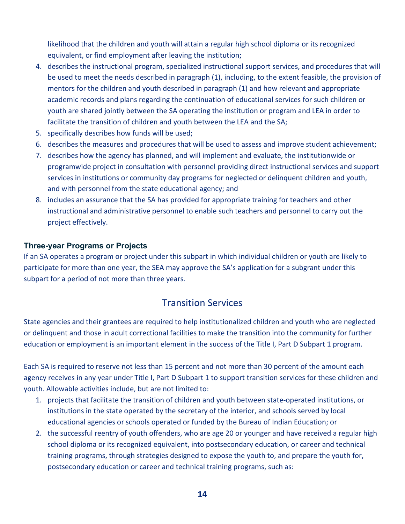likelihood that the children and youth will attain a regular high school diploma or its recognized equivalent, or find employment after leaving the institution;

- 4. describes the instructional program, specialized instructional support services, and procedures that will be used to meet the needs described in paragraph (1), including, to the extent feasible, the provision of mentors for the children and youth described in paragraph (1) and how relevant and appropriate academic records and plans regarding the continuation of educational services for such children or youth are shared jointly between the SA operating the institution or program and LEA in order to facilitate the transition of children and youth between the LEA and the SA;
- 5. specifically describes how funds will be used;
- 6. describes the measures and procedures that will be used to assess and improve student achievement;
- 7. describes how the agency has planned, and will implement and evaluate, the institutionwide or programwide project in consultation with personnel providing direct instructional services and support services in institutions or community day programs for neglected or delinquent children and youth, and with personnel from the state educational agency; and
- 8. includes an assurance that the SA has provided for appropriate training for teachers and other instructional and administrative personnel to enable such teachers and personnel to carry out the project effectively.

#### <span id="page-13-0"></span>**Three-year Programs or Projects**

If an SA operates a program or project under this subpart in which individual children or youth are likely to participate for more than one year, the SEA may approve the SA's application for a subgrant under this subpart for a period of not more than three years.

### Transition Services

<span id="page-13-1"></span>State agencies and their grantees are required to help institutionalized children and youth who are neglected or delinquent and those in adult correctional facilities to make the transition into the community for further education or employment is an important element in the success of the Title I, Part D Subpart 1 program.

Each SA is required to reserve not less than 15 percent and not more than 30 percent of the amount each agency receives in any year under Title I, Part D Subpart 1 to support transition services for these children and youth. Allowable activities include, but are not limited to:

- 1. projects that facilitate the transition of children and youth between state-operated institutions, or institutions in the state operated by the secretary of the interior, and schools served by local educational agencies or schools operated or funded by the Bureau of Indian Education; or
- 2. the successful reentry of youth offenders, who are age 20 or younger and have received a regular high school diploma or its recognized equivalent, into postsecondary education, or career and technical training programs, through strategies designed to expose the youth to, and prepare the youth for, postsecondary education or career and technical training programs, such as: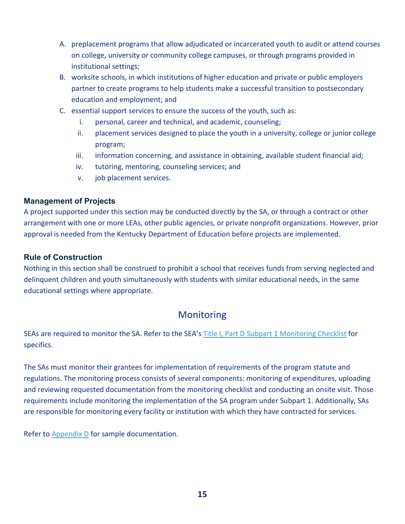- A. preplacement programs that allow adjudicated or incarcerated youth to audit or attend courses on college, university or community college campuses, or through programs provided in institutional settings;
- B. worksite schools, in which institutions of higher education and private or public employers partner to create programs to help students make a successful transition to postsecondary education and employment; and
- C. essential support services to ensure the success of the youth, such as:
	- i. personal, career and technical, and academic, counseling;
	- ii. placement services designed to place the youth in a university, college or junior college program;
	- iii. information concerning, and assistance in obtaining, available student financial aid;
	- iv. tutoring, mentoring, counseling services; and
	- v. job placement services.

#### <span id="page-14-0"></span>**Management of Projects**

A project supported under this section may be conducted directly by the SA, or through a contract or other arrangement with one or more LEAs, other public agencies, or private nonprofit organizations. However, prior approval is needed from the Kentucky Department of Education before projects are implemented.

#### <span id="page-14-1"></span>**Rule of Construction**

Nothing in this section shall be construed to prohibit a school that receives funds from serving neglected and delinquent children and youth simultaneously with students with similar educational needs, in the same educational settings where appropriate.

### Monitoring

<span id="page-14-2"></span>SEAs are required to monitor the SA. Refer to the SEA's [Title I, Part D Subpart 1 Monitoring Checklist](https://education.ky.gov/federal/progs/tid/Documents/Title%20I%20Part%20D%20S1%20Monitoring%20Checklist.pdf) for specifics.

The SAs must monitor their grantees for implementation of requirements of the program statute and regulations. The monitoring process consists of several components: monitoring of expenditures, uploading and reviewing requested documentation from the monitoring checklist and conducting an onsite visit. Those requirements include monitoring the implementation of the SA program under Subpart 1. Additionally, SAs are responsible for monitoring every facility or institution with which they have contracted for services.

Refer to [Appendix D](#page-40-0) for sample documentation.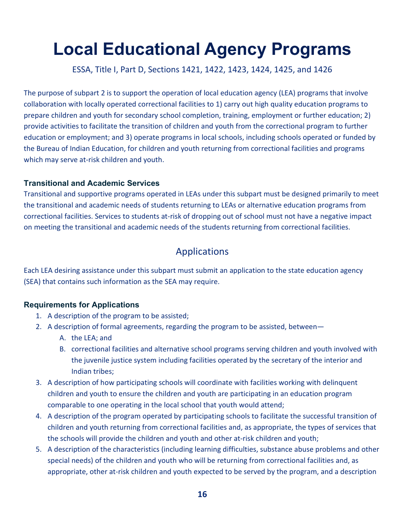# <span id="page-15-0"></span>**Local Educational Agency Programs**

ESSA, Title I, Part D, Sections 1421, 1422, 1423, 1424, 1425, and 1426

The purpose of subpart 2 is to support the operation of local education agency (LEA) programs that involve collaboration with locally operated correctional facilities to 1) carry out high quality education programs to prepare children and youth for secondary school completion, training, employment or further education; 2) provide activities to facilitate the transition of children and youth from the correctional program to further education or employment; and 3) operate programs in local schools, including schools operated or funded by the Bureau of Indian Education, for children and youth returning from correctional facilities and programs which may serve at-risk children and youth.

#### <span id="page-15-1"></span>**Transitional and Academic Services**

Transitional and supportive programs operated in LEAs under this subpart must be designed primarily to meet the transitional and academic needs of students returning to LEAs or alternative education programs from correctional facilities. Services to students at-risk of dropping out of school must not have a negative impact on meeting the transitional and academic needs of the students returning from correctional facilities.

### Applications

<span id="page-15-2"></span>Each LEA desiring assistance under this subpart must submit an application to the state education agency (SEA) that contains such information as the SEA may require.

#### <span id="page-15-3"></span>**Requirements for Applications**

- 1. A description of the program to be assisted;
- 2. A description of formal agreements, regarding the program to be assisted, between—
	- A. the LEA; and
	- B. correctional facilities and alternative school programs serving children and youth involved with the juvenile justice system including facilities operated by the secretary of the interior and Indian tribes;
- 3. A description of how participating schools will coordinate with facilities working with delinquent children and youth to ensure the children and youth are participating in an education program comparable to one operating in the local school that youth would attend;
- 4. A description of the program operated by participating schools to facilitate the successful transition of children and youth returning from correctional facilities and, as appropriate, the types of services that the schools will provide the children and youth and other at-risk children and youth;
- 5. A description of the characteristics (including learning difficulties, substance abuse problems and other special needs) of the children and youth who will be returning from correctional facilities and, as appropriate, other at-risk children and youth expected to be served by the program, and a description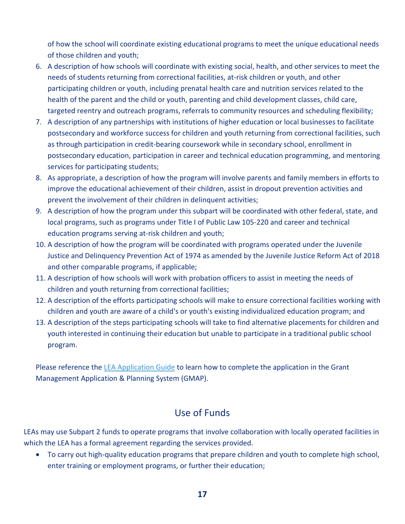of how the school will coordinate existing educational programs to meet the unique educational needs of those children and youth;

- 6. A description of how schools will coordinate with existing social, health, and other services to meet the needs of students returning from correctional facilities, at-risk children or youth, and other participating children or youth, including prenatal health care and nutrition services related to the health of the parent and the child or youth, parenting and child development classes, child care, targeted reentry and outreach programs, referrals to community resources and scheduling flexibility;
- 7. A description of any partnerships with institutions of higher education or local businesses to facilitate postsecondary and workforce success for children and youth returning from correctional facilities, such as through participation in credit-bearing coursework while in secondary school, enrollment in postsecondary education, participation in career and technical education programming, and mentoring services for participating students;
- 8. As appropriate, a description of how the program will involve parents and family members in efforts to improve the educational achievement of their children, assist in dropout prevention activities and prevent the involvement of their children in delinquent activities;
- 9. A description of how the program under this subpart will be coordinated with other federal, state, and local programs, such as programs under Title I of Public Law 105-220 and career and technical education programs serving at-risk children and youth;
- 10. A description of how the program will be coordinated with programs operated under the Juvenile Justice and Delinquency Prevention Act of 1974 as amended by the Juvenile Justice Reform Act of 2018 and other comparable programs, if applicable;
- 11. A description of how schools will work with probation officers to assist in meeting the needs of children and youth returning from correctional facilities;
- 12. A description of the efforts participating schools will make to ensure correctional facilities working with children and youth are aware of a child's or youth's existing individualized education program; and
- 13. A description of the steps participating schools will take to find alternative placements for children and youth interested in continuing their education but unable to participate in a traditional public school program.

Please reference the [LEA Application Guide](https://education.ky.gov/federal/progs/tid/Documents/TIPD2%20LEA%20Application%20Guide.pdf) to learn how to complete the application in the Grant Management Application & Planning System (GMAP).

### Use of Funds

<span id="page-16-0"></span>LEAs may use Subpart 2 funds to operate programs that involve collaboration with locally operated facilities in which the LEA has a formal agreement regarding the services provided.

• To carry out high-quality education programs that prepare children and youth to complete high school, enter training or employment programs, or further their education;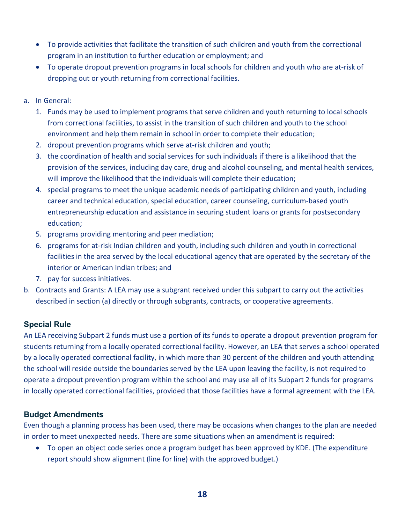- To provide activities that facilitate the transition of such children and youth from the correctional program in an institution to further education or employment; and
- To operate dropout prevention programs in local schools for children and youth who are at-risk of dropping out or youth returning from correctional facilities.
- a. In General:
	- 1. Funds may be used to implement programs that serve children and youth returning to local schools from correctional facilities, to assist in the transition of such children and youth to the school environment and help them remain in school in order to complete their education;
	- 2. dropout prevention programs which serve at-risk children and youth;
	- 3. the coordination of health and social services for such individuals if there is a likelihood that the provision of the services, including day care, drug and alcohol counseling, and mental health services, will improve the likelihood that the individuals will complete their education;
	- 4. special programs to meet the unique academic needs of participating children and youth, including career and technical education, special education, career counseling, curriculum-based youth entrepreneurship education and assistance in securing student loans or grants for postsecondary education;
	- 5. programs providing mentoring and peer mediation;
	- 6. programs for at-risk Indian children and youth, including such children and youth in correctional facilities in the area served by the local educational agency that are operated by the secretary of the interior or American Indian tribes; and
	- 7. pay for success initiatives.
- b. Contracts and Grants: A LEA may use a subgrant received under this subpart to carry out the activities described in section (a) directly or through subgrants, contracts, or cooperative agreements.

#### <span id="page-17-0"></span>**Special Rule**

An LEA receiving Subpart 2 funds must use a portion of its funds to operate a dropout prevention program for students returning from a locally operated correctional facility. However, an LEA that serves a school operated by a locally operated correctional facility, in which more than 30 percent of the children and youth attending the school will reside outside the boundaries served by the LEA upon leaving the facility, is not required to operate a dropout prevention program within the school and may use all of its Subpart 2 funds for programs in locally operated correctional facilities, provided that those facilities have a formal agreement with the LEA.

#### <span id="page-17-1"></span>**Budget Amendments**

Even though a planning process has been used, there may be occasions when changes to the plan are needed in order to meet unexpected needs. There are some situations when an amendment is required:

• To open an object code series once a program budget has been approved by KDE. (The expenditure report should show alignment (line for line) with the approved budget.)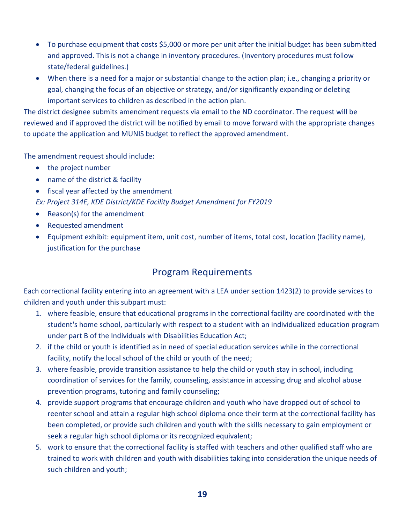- To purchase equipment that costs \$5,000 or more per unit after the initial budget has been submitted and approved. This is not a change in inventory procedures. (Inventory procedures must follow state/federal guidelines.)
- When there is a need for a major or substantial change to the action plan; i.e., changing a priority or goal, changing the focus of an objective or strategy, and/or significantly expanding or deleting important services to children as described in the action plan.

The district designee submits amendment requests via email to the ND coordinator. The request will be reviewed and if approved the district will be notified by email to move forward with the appropriate changes to update the application and MUNIS budget to reflect the approved amendment.

The amendment request should include:

- the project number
- name of the district & facility
- fiscal year affected by the amendment

*Ex: Project 314E, KDE District/KDE Facility Budget Amendment for FY2019*

- Reason(s) for the amendment
- Requested amendment
- Equipment exhibit: equipment item, unit cost, number of items, total cost, location (facility name), justification for the purchase

### Program Requirements

<span id="page-18-0"></span>Each correctional facility entering into an agreement with a LEA under section 1423(2) to provide services to children and youth under this subpart must:

- 1. where feasible, ensure that educational programs in the correctional facility are coordinated with the student's home school, particularly with respect to a student with an individualized education program under part B of the Individuals with Disabilities Education Act;
- 2. if the child or youth is identified as in need of special education services while in the correctional facility, notify the local school of the child or youth of the need;
- 3. where feasible, provide transition assistance to help the child or youth stay in school, including coordination of services for the family, counseling, assistance in accessing drug and alcohol abuse prevention programs, tutoring and family counseling;
- 4. provide support programs that encourage children and youth who have dropped out of school to reenter school and attain a regular high school diploma once their term at the correctional facility has been completed, or provide such children and youth with the skills necessary to gain employment or seek a regular high school diploma or its recognized equivalent;
- 5. work to ensure that the correctional facility is staffed with teachers and other qualified staff who are trained to work with children and youth with disabilities taking into consideration the unique needs of such children and youth;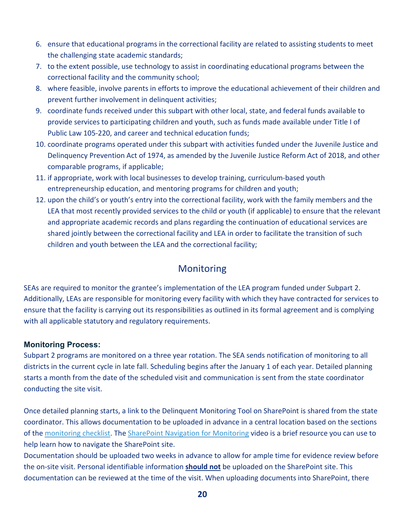- 6. ensure that educational programs in the correctional facility are related to assisting students to meet the challenging state academic standards;
- 7. to the extent possible, use technology to assist in coordinating educational programs between the correctional facility and the community school;
- 8. where feasible, involve parents in efforts to improve the educational achievement of their children and prevent further involvement in delinquent activities;
- 9. coordinate funds received under this subpart with other local, state, and federal funds available to provide services to participating children and youth, such as funds made available under Title I of Public Law 105-220, and career and technical education funds;
- 10. coordinate programs operated under this subpart with activities funded under the Juvenile Justice and Delinquency Prevention Act of 1974, as amended by the Juvenile Justice Reform Act of 2018, and other comparable programs, if applicable;
- 11. if appropriate, work with local businesses to develop training, curriculum-based youth entrepreneurship education, and mentoring programs for children and youth;
- 12. upon the child's or youth's entry into the correctional facility, work with the family members and the LEA that most recently provided services to the child or youth (if applicable) to ensure that the relevant and appropriate academic records and plans regarding the continuation of educational services are shared jointly between the correctional facility and LEA in order to facilitate the transition of such children and youth between the LEA and the correctional facility;

### Monitoring

<span id="page-19-0"></span>SEAs are required to monitor the grantee's implementation of the LEA program funded under Subpart 2. Additionally, LEAs are responsible for monitoring every facility with which they have contracted for services to ensure that the facility is carrying out its responsibilities as outlined in its formal agreement and is complying with all applicable statutory and regulatory requirements.

#### <span id="page-19-1"></span>**Monitoring Process:**

Subpart 2 programs are monitored on a three year rotation. The SEA sends notification of monitoring to all districts in the current cycle in late fall. Scheduling begins after the January 1 of each year. Detailed planning starts a month from the date of the scheduled visit and communication is sent from the state coordinator conducting the site visit.

Once detailed planning starts, a link to the Delinquent Monitoring Tool on SharePoint is shared from the state coordinator. This allows documentation to be uploaded in advance in a central location based on the sections of th[e monitoring checklist.](https://education.ky.gov/federal/progs/tid/Documents/Subpart%202%20Monitoring%20Checklist.pdf) The [SharePoint Navigation for Monitoring](https://www.youtube.com/watch?v=z6dB-BgMUzM) video is a brief resource you can use to help learn how to navigate the SharePoint site.

Documentation should be uploaded two weeks in advance to allow for ample time for evidence review before the on-site visit. Personal identifiable information **should not** be uploaded on the SharePoint site. This documentation can be reviewed at the time of the visit. When uploading documents into SharePoint, there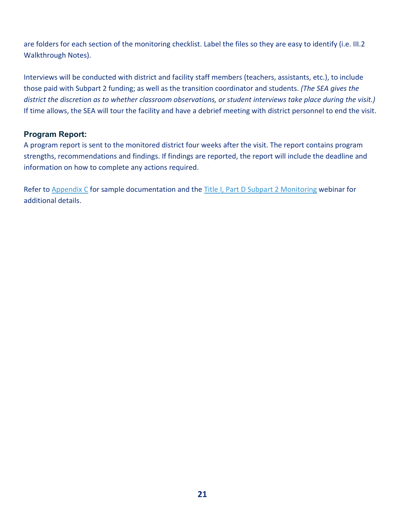are folders for each section of the monitoring checklist. Label the files so they are easy to identify (i.e. III.2 Walkthrough Notes).

Interviews will be conducted with district and facility staff members (teachers, assistants, etc.), to include those paid with Subpart 2 funding; as well as the transition coordinator and students. *(The SEA gives the district the discretion as to whether classroom observations, or student interviews take place during the visit.)* If time allows, the SEA will tour the facility and have a debrief meeting with district personnel to end the visit.

#### <span id="page-20-0"></span>**Program Report:**

A program report is sent to the monitored district four weeks after the visit. The report contains program strengths, recommendations and findings. If findings are reported, the report will include the deadline and information on how to complete any actions required.

Refer to [Appendix C](#page-38-0) for sample documentation and the [Title I, Part D Subpart 2 Monitoring](https://youtu.be/xEZJyq6Tgw0) webinar for additional details.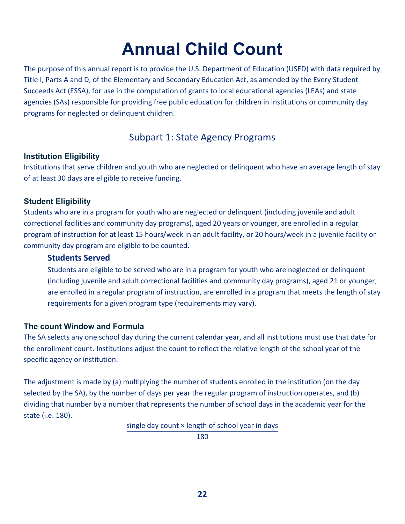# **Annual Child Count**

<span id="page-21-0"></span>The purpose of this annual report is to provide the U.S. Department of Education (USED) with data required by Title I, Parts A and D, of the Elementary and Secondary Education Act, as amended by the Every Student Succeeds Act (ESSA), for use in the computation of grants to local educational agencies (LEAs) and state agencies (SAs) responsible for providing free public education for children in institutions or community day programs for neglected or delinquent children.

# Subpart 1: State Agency Programs

#### <span id="page-21-2"></span><span id="page-21-1"></span>**Institution Eligibility**

Institutions that serve children and youth who are neglected or delinquent who have an average length of stay of at least 30 days are eligible to receive funding.

#### <span id="page-21-3"></span>**Student Eligibility**

Students who are in a program for youth who are neglected or delinquent (including juvenile and adult correctional facilities and community day programs), aged 20 years or younger, are enrolled in a regular program of instruction for at least 15 hours/week in an adult facility, or 20 hours/week in a juvenile facility or community day program are eligible to be counted.

#### **Students Served**

Students are eligible to be served who are in a program for youth who are neglected or delinquent (including juvenile and adult correctional facilities and community day programs), aged 21 or younger, are enrolled in a regular program of instruction, are enrolled in a program that meets the length of stay requirements for a given program type (requirements may vary).

#### <span id="page-21-4"></span>**The count Window and Formula**

The SA selects any one school day during the current calendar year, and all institutions must use that date for the enrollment count. Institutions adjust the count to reflect the relative length of the school year of the specific agency or institution.

The adjustment is made by (a) multiplying the number of students enrolled in the institution (on the day selected by the SA), by the number of days per year the regular program of instruction operates, and (b) dividing that number by a number that represents the number of school days in the academic year for the state (i.e. 180).

single day count × length of school year in days

180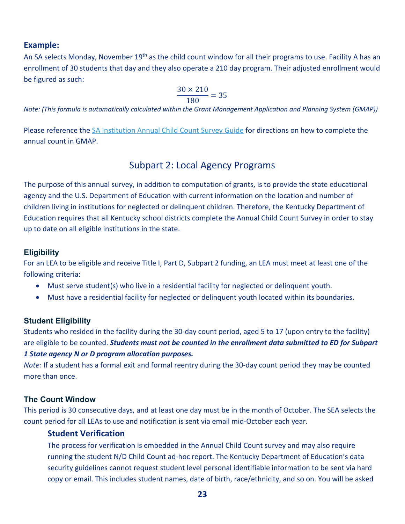#### **Example:**

An SA selects Monday, November 19<sup>th</sup> as the child count window for all their programs to use. Facility A has an enrollment of 30 students that day and they also operate a 210 day program. Their adjusted enrollment would be figured as such:

$$
\frac{30 \times 210}{180} = 35
$$

*Note: (This formula is automatically calculated within the Grant Management Application and Planning System (GMAP))*

Please reference the [SA Institution Annual Child Count Survey Guide](https://education.ky.gov/federal/progs/tid/Documents/SA%20Institution%20Annual%20Child%20Count%20Survey.pdf) for directions on how to complete the annual count in GMAP.

### Subpart 2: Local Agency Programs

<span id="page-22-0"></span>The purpose of this annual survey, in addition to computation of grants, is to provide the state educational agency and the U.S. Department of Education with current information on the location and number of children living in institutions for neglected or delinquent children. Therefore, the Kentucky Department of Education requires that all Kentucky school districts complete the Annual Child Count Survey in order to stay up to date on all eligible institutions in the state.

#### <span id="page-22-1"></span>**Eligibility**

For an LEA to be eligible and receive Title I, Part D, Subpart 2 funding, an LEA must meet at least one of the following criteria:

- Must serve student(s) who live in a residential facility for neglected or delinquent youth.
- Must have a residential facility for neglected or delinquent youth located within its boundaries.

#### <span id="page-22-2"></span>**Student Eligibility**

Students who resided in the facility during the 30-day count period, aged 5 to 17 (upon entry to the facility) are eligible to be counted. *Students must not be counted in the enrollment data submitted to ED for Subpart 1 State agency N or D program allocation purposes.*

*Note:* If a student has a formal exit and formal reentry during the 30-day count period they may be counted more than once.

#### <span id="page-22-3"></span>**The Count Window**

This period is 30 consecutive days, and at least one day must be in the month of October. The SEA selects the count period for all LEAs to use and notification is sent via email mid-October each year.

#### **Student Verification**

The process for verification is embedded in the Annual Child Count survey and may also require running the student N/D Child Count ad-hoc report. The Kentucky Department of Education's data security guidelines cannot request student level personal identifiable information to be sent via hard copy or email. This includes student names, date of birth, race/ethnicity, and so on. You will be asked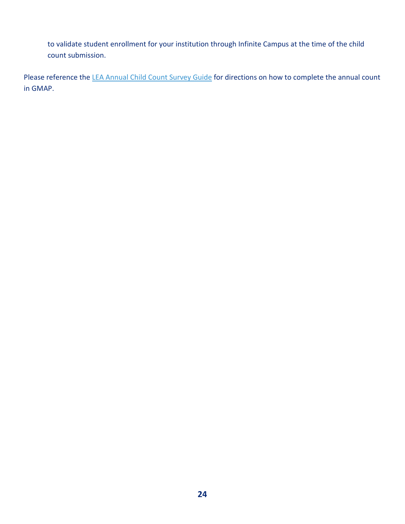to validate student enrollment for your institution through Infinite Campus at the time of the child count submission.

Please reference the [LEA Annual Child Count Survey Guide](https://education.ky.gov/federal/progs/tid/Documents/LEA%20Annual%20Child%20Count%20Survey.pdf) for directions on how to complete the annual count in GMAP.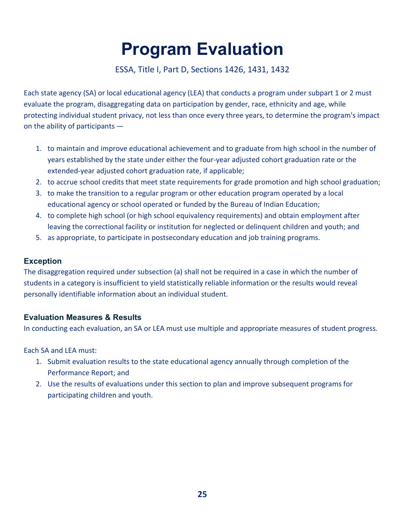# **Program Evaluation**

#### ESSA, Title I, Part D, Sections 1426, 1431, 1432

<span id="page-24-0"></span>Each state agency (SA) or local educational agency (LEA) that conducts a program under subpart 1 or 2 must evaluate the program, disaggregating data on participation by gender, race, ethnicity and age, while protecting individual student privacy, not less than once every three years, to determine the program's impact on the ability of participants —

- 1. to maintain and improve educational achievement and to graduate from high school in the number of years established by the state under either the four-year adjusted cohort graduation rate or the extended-year adjusted cohort graduation rate, if applicable;
- 2. to accrue school credits that meet state requirements for grade promotion and high school graduation;
- 3. to make the transition to a regular program or other education program operated by a local educational agency or school operated or funded by the Bureau of Indian Education;
- 4. to complete high school (or high school equivalency requirements) and obtain employment after leaving the correctional facility or institution for neglected or delinquent children and youth; and
- 5. as appropriate, to participate in postsecondary education and job training programs.

#### <span id="page-24-1"></span>**Exception**

The disaggregation required under subsection (a) shall not be required in a case in which the number of students in a category is insufficient to yield statistically reliable information or the results would reveal personally identifiable information about an individual student.

#### <span id="page-24-2"></span>**Evaluation Measures & Results**

In conducting each evaluation, an SA or LEA must use multiple and appropriate measures of student progress.

Each SA and LEA must:

- 1. Submit evaluation results to the state educational agency annually through completion of the Performance Report; and
- 2. Use the results of evaluations under this section to plan and improve subsequent programs for participating children and youth.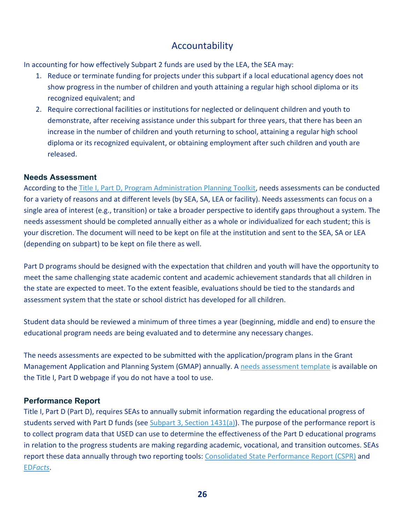## Accountability

<span id="page-25-0"></span>In accounting for how effectively Subpart 2 funds are used by the LEA, the SEA may:

- 1. Reduce or terminate funding for projects under this subpart if a local educational agency does not show progress in the number of children and youth attaining a regular high school diploma or its recognized equivalent; and
- 2. Require correctional facilities or institutions for neglected or delinquent children and youth to demonstrate, after receiving assistance under this subpart for three years, that there has been an increase in the number of children and youth returning to school, attaining a regular high school diploma or its recognized equivalent, or obtaining employment after such children and youth are released.

#### <span id="page-25-1"></span>**Needs Assessment**

According to the [Title I, Part D, Program Administration Planning Toolkit,](https://neglected-delinquent.ed.gov/sites/default/files/docs/programAdminPlanningToolkit.pdf) needs assessments can be conducted for a variety of reasons and at different levels (by SEA, SA, LEA or facility). Needs assessments can focus on a single area of interest (e.g., transition) or take a broader perspective to identify gaps throughout a system. The needs assessment should be completed annually either as a whole or individualized for each student; this is your discretion. The document will need to be kept on file at the institution and sent to the SEA, SA or LEA (depending on subpart) to be kept on file there as well.

Part D programs should be designed with the expectation that children and youth will have the opportunity to meet the same challenging state academic content and academic achievement standards that all children in the state are expected to meet. To the extent feasible, evaluations should be tied to the standards and assessment system that the state or school district has developed for all children.

Student data should be reviewed a minimum of three times a year (beginning, middle and end) to ensure the educational program needs are being evaluated and to determine any necessary changes.

The needs assessments are expected to be submitted with the application/program plans in the Grant Management Application and Planning System (GMAP) annually. [A needs assessment template](https://education.ky.gov/federal/progs/tid/Documents/Needs%20Assessment%20Template.pdf) is available on the Title I, Part D webpage if you do not have a tool to use.

#### <span id="page-25-2"></span>**Performance Report**

Title I, Part D (Part D), requires SEAs to annually submit information regarding the educational progress of students served with Part D funds (se[e Subpart 3, Section 1431\(a\)\)](https://neglected-delinquent.ed.gov/title-i-part-d-statute#sec1431). The purpose of the performance report is to collect program data that USED can use to determine the effectiveness of the Part D educational programs in relation to the progress students are making regarding academic, vocational, and transition outcomes. SEAs report these data annually through two reporting tools: [Consolidated State Performance Report \(CSPR\)](https://www2.ed.gov/admins/lead/account/consolidated/index.html) and ED*[Facts](https://www2.ed.gov/about/inits/ed/edfacts/index.html)*.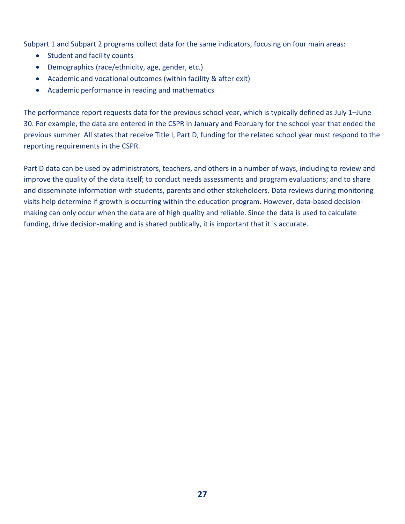Subpart 1 and Subpart 2 programs collect data for the same indicators, focusing on four main areas:

- Student and facility counts
- Demographics (race/ethnicity, age, gender, etc.)
- Academic and vocational outcomes (within facility & after exit)
- Academic performance in reading and mathematics

The performance report requests data for the previous school year, which is typically defined as July 1–June 30. For example, the data are entered in the CSPR in January and February for the school year that ended the previous summer. All states that receive Title I, Part D, funding for the related school year must respond to the reporting requirements in the CSPR.

Part D data can be used by administrators, teachers, and others in a number of ways, including to review and improve the quality of the data itself; to conduct needs assessments and program evaluations; and to share and disseminate information with students, parents and other stakeholders. Data reviews during monitoring visits help determine if growth is occurring within the education program. However, data-based decisionmaking can only occur when the data are of high quality and reliable. Since the data is used to calculate funding, drive decision-making and is shared publically, it is important that it is accurate.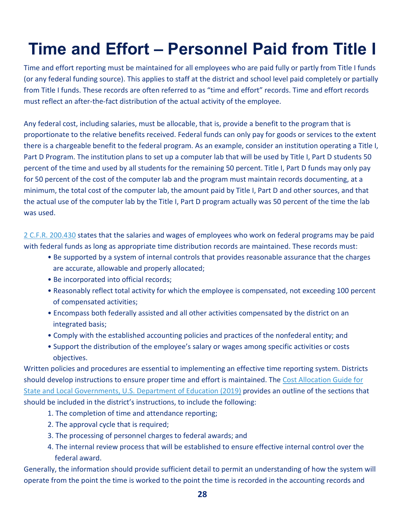# <span id="page-27-0"></span>**Time and Effort – Personnel Paid from Title I**

Time and effort reporting must be maintained for all employees who are paid fully or partly from Title I funds (or any federal funding source). This applies to staff at the district and school level paid completely or partially from Title I funds. These records are often referred to as "time and effort" records. Time and effort records must reflect an after-the-fact distribution of the actual activity of the employee.

Any federal cost, including salaries, must be allocable, that is, provide a benefit to the program that is proportionate to the relative benefits received. Federal funds can only pay for goods or services to the extent there is a chargeable benefit to the federal program. As an example, consider an institution operating a Title I, Part D Program. The institution plans to set up a computer lab that will be used by Title I, Part D students 50 percent of the time and used by all students for the remaining 50 percent. Title I, Part D funds may only pay for 50 percent of the cost of the computer lab and the program must maintain records documenting, at a minimum, the total cost of the computer lab, the amount paid by Title I, Part D and other sources, and that the actual use of the computer lab by the Title I, Part D program actually was 50 percent of the time the lab was used.

[2 C.F.R. 200.430](https://www.ecfr.gov/current/title-2/subtitle-A/chapter-II/part-200/subpart-E/subject-group-ECFRed1f39f9b3d4e72/section-200.430) states that the salaries and wages of employees who work on federal programs may be paid with federal funds as long as appropriate time distribution records are maintained. These records must:

- Be supported by a system of internal controls that provides reasonable assurance that the charges are accurate, allowable and properly allocated;
- Be incorporated into official records;
- Reasonably reflect total activity for which the employee is compensated, not exceeding 100 percent of compensated activities;
- Encompass both federally assisted and all other activities compensated by the district on an integrated basis;
- Comply with the established accounting policies and practices of the nonfederal entity; and
- Support the distribution of the employee's salary or wages among specific activities or costs objectives.

Written policies and procedures are essential to implementing an effective time reporting system. Districts should develop instructions to ensure proper time and effort is maintained. The [Cost Allocation Guide for](https://www2.ed.gov/about/offices/list/ocfo/fipao/costallocationguide92019.pdf) [State and Local Governments, U.S. Department of Education \(2019\)](https://www2.ed.gov/about/offices/list/ocfo/fipao/costallocationguide92019.pdf) provides an outline of the sections that should be included in the district's instructions, to include the following:

- 1. The completion of time and attendance reporting;
- 2. The approval cycle that is required;
- 3. The processing of personnel charges to federal awards; and
- 4. The internal review process that will be established to ensure effective internal control over the federal award.

Generally, the information should provide sufficient detail to permit an understanding of how the system will operate from the point the time is worked to the point the time is recorded in the accounting records and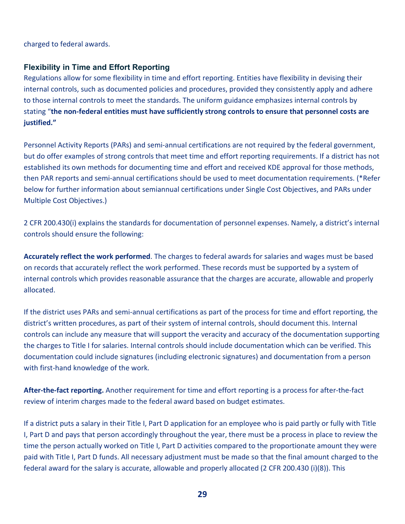charged to federal awards.

#### <span id="page-28-0"></span>**Flexibility in Time and Effort Reporting**

Regulations allow for some flexibility in time and effort reporting. Entities have flexibility in devising their internal controls, such as documented policies and procedures, provided they consistently apply and adhere to those internal controls to meet the standards. The uniform guidance emphasizes internal controls by stating "**the non-federal entities must have sufficiently strong controls to ensure that personnel costs are justified."**

Personnel Activity Reports (PARs) and semi-annual certifications are not required by the federal government, but do offer examples of strong controls that meet time and effort reporting requirements. If a district has not established its own methods for documenting time and effort and received KDE approval for those methods, then PAR reports and semi-annual certifications should be used to meet documentation requirements. (\*Refer below for further information about semiannual certifications under Single Cost Objectives, and PARs under Multiple Cost Objectives.)

2 CFR 200.430(i) explains the standards for documentation of personnel expenses. Namely, a district's internal controls should ensure the following:

**Accurately reflect the work performed**. The charges to federal awards for salaries and wages must be based on records that accurately reflect the work performed. These records must be supported by a system of internal controls which provides reasonable assurance that the charges are accurate, allowable and properly allocated.

If the district uses PARs and semi-annual certifications as part of the process for time and effort reporting, the district's written procedures, as part of their system of internal controls, should document this. Internal controls can include any measure that will support the veracity and accuracy of the documentation supporting the charges to Title I for salaries. Internal controls should include documentation which can be verified. This documentation could include signatures (including electronic signatures) and documentation from a person with first-hand knowledge of the work.

**After-the-fact reporting.** Another requirement for time and effort reporting is a process for after-the-fact review of interim charges made to the federal award based on budget estimates.

If a district puts a salary in their Title I, Part D application for an employee who is paid partly or fully with Title I, Part D and pays that person accordingly throughout the year, there must be a process in place to review the time the person actually worked on Title I, Part D activities compared to the proportionate amount they were paid with Title I, Part D funds. All necessary adjustment must be made so that the final amount charged to the federal award for the salary is accurate, allowable and properly allocated (2 CFR 200.430 (i)(8)). This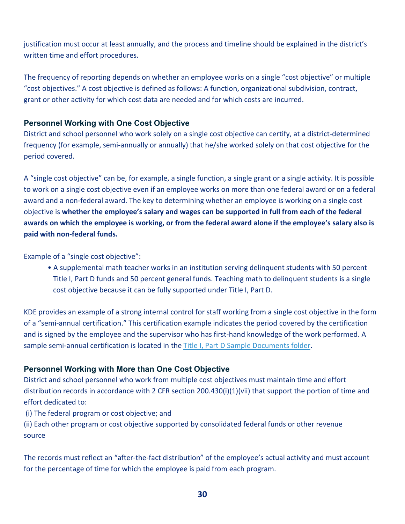justification must occur at least annually, and the process and timeline should be explained in the district's written time and effort procedures.

The frequency of reporting depends on whether an employee works on a single "cost objective" or multiple "cost objectives." A cost objective is defined as follows: A function, organizational subdivision, contract, grant or other activity for which cost data are needed and for which costs are incurred.

#### <span id="page-29-0"></span>**Personnel Working with One Cost Objective**

District and school personnel who work solely on a single cost objective can certify, at a district-determined frequency (for example, semi-annually or annually) that he/she worked solely on that cost objective for the period covered.

A "single cost objective" can be, for example, a single function, a single grant or a single activity. It is possible to work on a single cost objective even if an employee works on more than one federal award or on a federal award and a non-federal award. The key to determining whether an employee is working on a single cost objective is **whether the employee's salary and wages can be supported in full from each of the federal awards on which the employee is working, or from the federal award alone if the employee's salary also is paid with non-federal funds.**

Example of a "single cost objective":

• A supplemental math teacher works in an institution serving delinquent students with 50 percent Title I, Part D funds and 50 percent general funds. Teaching math to delinquent students is a single cost objective because it can be fully supported under Title I, Part D.

KDE provides an example of a strong internal control for staff working from a single cost objective in the form of a "semi-annual certification." This certification example indicates the period covered by the certification and is signed by the employee and the supervisor who has first-hand knowledge of the work performed. A sample semi-annual certification is located in the [Title I, Part D Sample Documents folder.](https://education.ky.gov/federal/progs/tid/Documents/Title%20I%2c%20Part%20D%20Sample%20Documents.zip)

#### <span id="page-29-1"></span>**Personnel Working with More than One Cost Objective**

District and school personnel who work from multiple cost objectives must maintain time and effort distribution records in accordance with 2 CFR section 200.430(i)(1)(vii) that support the portion of time and effort dedicated to:

(i) The federal program or cost objective; and

(ii) Each other program or cost objective supported by consolidated federal funds or other revenue source

The records must reflect an "after-the-fact distribution" of the employee's actual activity and must account for the percentage of time for which the employee is paid from each program.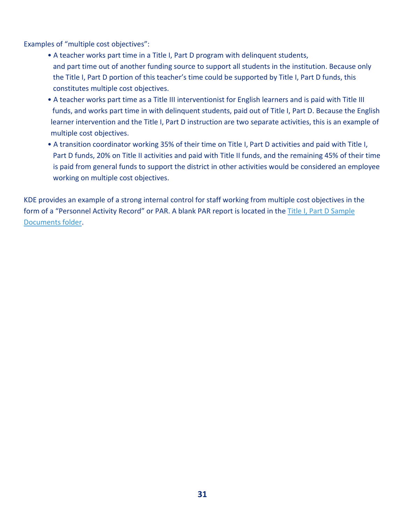Examples of "multiple cost objectives":

- A teacher works part time in a Title I, Part D program with delinquent students, and part time out of another funding source to support all students in the institution. Because only the Title I, Part D portion of this teacher's time could be supported by Title I, Part D funds, this constitutes multiple cost objectives.
- A teacher works part time as a Title III interventionist for English learners and is paid with Title III funds, and works part time in with delinquent students, paid out of Title I, Part D. Because the English learner intervention and the Title I, Part D instruction are two separate activities, this is an example of multiple cost objectives.
- A transition coordinator working 35% of their time on Title I, Part D activities and paid with Title I, Part D funds, 20% on Title II activities and paid with Title II funds, and the remaining 45% of their time is paid from general funds to support the district in other activities would be considered an employee working on multiple cost objectives.

KDE provides an example of a strong internal control for staff working from multiple cost objectives in the form of a "Personnel Activity Record" or PAR. A blank PAR report is located in the [Title I, Part D Sample](https://education.ky.gov/federal/progs/tid/Documents/Title%20I%2c%20Part%20D%20Sample%20Documents.zip)  [Documents folder.](https://education.ky.gov/federal/progs/tid/Documents/Title%20I%2c%20Part%20D%20Sample%20Documents.zip)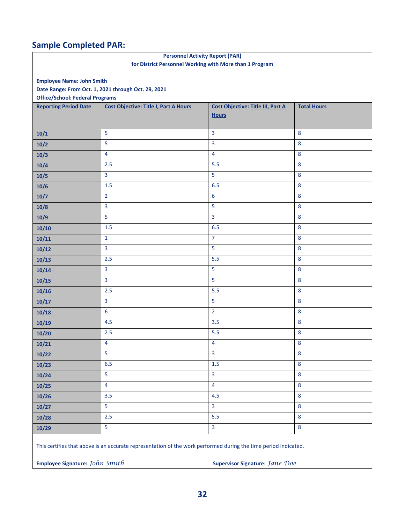# **Sample Completed PAR:**

| <b>Personnel Activity Report (PAR)</b>                                                                          |                                                         |                                          |                    |
|-----------------------------------------------------------------------------------------------------------------|---------------------------------------------------------|------------------------------------------|--------------------|
|                                                                                                                 | for District Personnel Working with More than 1 Program |                                          |                    |
| <b>Employee Name: John Smith</b>                                                                                |                                                         |                                          |                    |
|                                                                                                                 | Date Range: From Oct. 1, 2021 through Oct. 29, 2021     |                                          |                    |
| <b>Office/School: Federal Programs</b>                                                                          |                                                         |                                          |                    |
| <b>Reporting Period Date</b>                                                                                    | <b>Cost Objective: Title I, Part A Hours</b>            | <b>Cost Objective: Title III, Part A</b> | <b>Total Hours</b> |
|                                                                                                                 |                                                         | <b>Hours</b>                             |                    |
| 10/1                                                                                                            | 5                                                       | 3                                        | 8                  |
| 10/2                                                                                                            | 5                                                       | $\overline{3}$                           | 8                  |
| 10/3                                                                                                            | $\overline{4}$                                          | $\overline{4}$                           | 8                  |
| 10/4                                                                                                            | 2.5                                                     | 5.5                                      | 8                  |
| 10/5                                                                                                            | 3                                                       | 5                                        | 8                  |
| 10/6                                                                                                            | 1.5                                                     | 6.5                                      | 8                  |
| $10/7$                                                                                                          | $\overline{2}$                                          | 6                                        | 8                  |
| 10/8                                                                                                            | 3                                                       | 5                                        | 8                  |
| 10/9                                                                                                            | 5                                                       | $\overline{3}$                           | 8                  |
| 10/10                                                                                                           | 1.5                                                     | 6.5                                      | 8                  |
| 10/11                                                                                                           | $\mathbf{1}$                                            | $\overline{7}$                           | 8                  |
| 10/12                                                                                                           | 3                                                       | 5                                        | 8                  |
| 10/13                                                                                                           | 2.5                                                     | 5.5                                      | 8                  |
| 10/14                                                                                                           | 3                                                       | 5                                        | 8                  |
| 10/15                                                                                                           | 3                                                       | 5                                        | 8                  |
| 10/16                                                                                                           | 2.5                                                     | 5.5                                      | $\bf 8$            |
| 10/17                                                                                                           | 3                                                       | 5                                        | 8                  |
| 10/18                                                                                                           | 6                                                       | $\overline{2}$                           | 8                  |
| 10/19                                                                                                           | 4.5                                                     | 3.5                                      | 8                  |
| 10/20                                                                                                           | 2.5                                                     | 5.5                                      | 8                  |
| 10/21                                                                                                           | 4                                                       | $\overline{4}$                           | 8                  |
| 10/22                                                                                                           | 5                                                       | $\overline{3}$                           | 8                  |
| 10/23                                                                                                           | 6.5                                                     | $1.5$                                    | 8                  |
| 10/24                                                                                                           | 5                                                       | $\overline{\mathbf{3}}$                  | 8                  |
| 10/25                                                                                                           | 4                                                       | $\overline{4}$                           | 8                  |
| 10/26                                                                                                           | 3.5                                                     | 4.5                                      | 8                  |
| 10/27                                                                                                           | 5                                                       | 3                                        | 8                  |
| 10/28                                                                                                           | 2.5                                                     | 5.5                                      | 8                  |
| 10/29                                                                                                           | 5                                                       | $\overline{3}$                           | 8                  |
| This certifies that above is an accurate representation of the work performed during the time period indicated. |                                                         |                                          |                    |
| Employee Signature: John Smith<br>Supervisor Signature: Jane Doe                                                |                                                         |                                          |                    |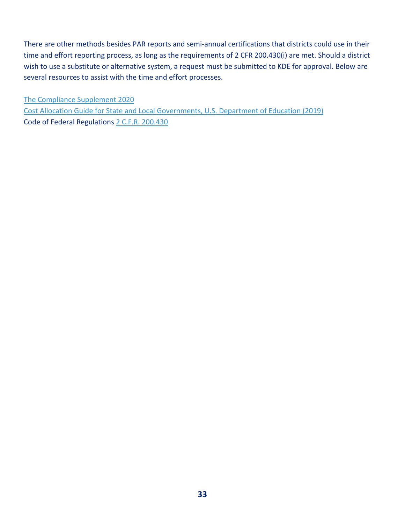There are other methods besides PAR reports and semi-annual certifications that districts could use in their time and effort reporting process, as long as the requirements of 2 CFR 200.430(i) are met. Should a district wish to use a substitute or alternative system, a request must be submitted to KDE for approval. Below are several resources to assist with the time and effort processes.

[The Compliance Supplement 2020](https://www.whitehouse.gov/wp-content/uploads/2020/08/2020-Compliance-Supplement_FINAL_08.06.20.pdf) [Cost Allocation Guide for State and Local Governments, U.S. Department of Education \(2019\)](https://www2.ed.gov/about/offices/list/ocfo/fipao/costallocationguide92019.pdf) Code of Federal Regulations [2 C.F.R. 200.430](https://www.ecfr.gov/current/title-2/subtitle-A/chapter-II/part-200/subpart-E/subject-group-ECFRed1f39f9b3d4e72/section-200.430)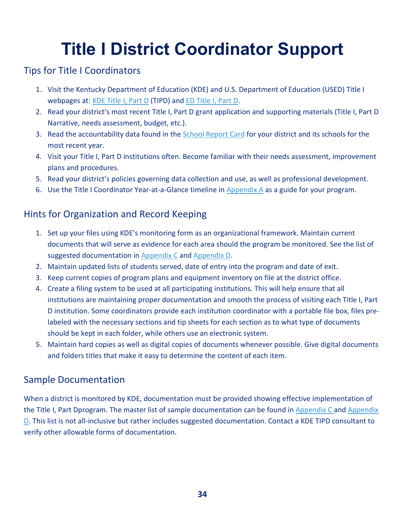# **Title I District Coordinator Support**

### <span id="page-33-1"></span><span id="page-33-0"></span>Tips for Title I Coordinators

- 1. Visit the Kentucky Department of Education (KDE) and U.S. Department of Education (USED) Title I webpages at[: KDE Title I, Part D](https://education.ky.gov/federal/progs/tid/Pages/default.aspx) (TIPD) and ED [Title I, Part D.](https://www2.ed.gov/programs/titleipartd/index.html?exp=0)
- 2. Read your district's most recent Title I, Part D grant application and supporting materials (Title I, Part D Narrative, needs assessment, budget, etc.).
- 3. Read the accountability data found in the [School Report Card](https://www.kyschoolreportcard.com/home) for your district and its schools for the most recent year.
- 4. Visit your Title I, Part D institutions often. Become familiar with their needs assessment, improvement plans and procedures.
- 5. Read your district's policies governing data collection and use, as well as professional development.
- 6. Use the Title I Coordinator Year-at-a-Glance timeline in [Appendix A](#page-34-0) as a guide for your program.

# <span id="page-33-2"></span>Hints for Organization and Record Keeping

- 1. Set up your files using KDE's monitoring form as an organizational framework. Maintain current documents that will serve as evidence for each area should the program be monitored. See the list of suggested documentation in [Appendix C](#page-38-0) and [Appendix D.](#page-40-0)
- 2. Maintain updated lists of students served, date of entry into the program and date of exit.
- 3. Keep current copies of program plans and equipment inventory on file at the district office.
- 4. Create a filing system to be used at all participating institutions. This will help ensure that all institutions are maintaining proper documentation and smooth the process of visiting each Title I, Part D institution. Some coordinators provide each institution coordinator with a portable file box, files prelabeled with the necessary sections and tip sheets for each section as to what type of documents should be kept in each folder, while others use an electronic system.
- 5. Maintain hard copies as well as digital copies of documents whenever possible. Give digital documents and folders titles that make it easy to determine the content of each item.

### <span id="page-33-3"></span>Sample Documentation

When a district is monitored by KDE, documentation must be provided showing effective implementation of the Title I, Part Dprogram. The master list of sample documentation can be found in [Appendix C](#page-38-0) and [Appendix](#page-40-0)  [D.](#page-40-0) This list is not all-inclusive but rather includes suggested documentation. Contact a KDE TIPD consultant to verify other allowable forms of documentation.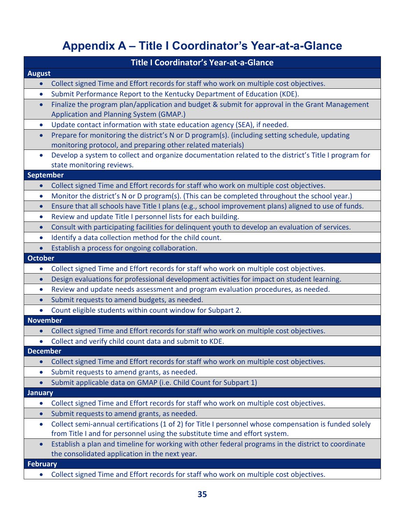# **Appendix A – Title I Coordinator's Year-at-a-Glance**

<span id="page-34-0"></span>

|                  | <b>Title I Coordinator's Year-at-a-Glance</b>                                                                                                         |
|------------------|-------------------------------------------------------------------------------------------------------------------------------------------------------|
| <b>August</b>    |                                                                                                                                                       |
|                  | Collect signed Time and Effort records for staff who work on multiple cost objectives.                                                                |
| $\bullet$        | Submit Performance Report to the Kentucky Department of Education (KDE).                                                                              |
| $\bullet$        | Finalize the program plan/application and budget & submit for approval in the Grant Management                                                        |
|                  | Application and Planning System (GMAP.)                                                                                                               |
| $\bullet$        | Update contact information with state education agency (SEA), if needed.                                                                              |
| $\bullet$        | Prepare for monitoring the district's N or D program(s). (including setting schedule, updating                                                        |
|                  | monitoring protocol, and preparing other related materials)                                                                                           |
| $\bullet$        | Develop a system to collect and organize documentation related to the district's Title I program for                                                  |
|                  | state monitoring reviews.                                                                                                                             |
| <b>September</b> |                                                                                                                                                       |
| $\bullet$        | Collect signed Time and Effort records for staff who work on multiple cost objectives.                                                                |
| $\bullet$        | Monitor the district's N or D program(s). (This can be completed throughout the school year.)                                                         |
| $\bullet$        | Ensure that all schools have Title I plans (e.g., school improvement plans) aligned to use of funds.                                                  |
| $\bullet$        | Review and update Title I personnel lists for each building.                                                                                          |
| $\bullet$        | Consult with participating facilities for delinquent youth to develop an evaluation of services.                                                      |
| $\bullet$        | Identify a data collection method for the child count.                                                                                                |
| $\bullet$        | Establish a process for ongoing collaboration.                                                                                                        |
| October          |                                                                                                                                                       |
| $\bullet$        | Collect signed Time and Effort records for staff who work on multiple cost objectives.                                                                |
| $\bullet$        | Design evaluations for professional development activities for impact on student learning.                                                            |
| $\bullet$        | Review and update needs assessment and program evaluation procedures, as needed.                                                                      |
| $\bullet$        | Submit requests to amend budgets, as needed.                                                                                                          |
|                  | Count eligible students within count window for Subpart 2.                                                                                            |
| <b>November</b>  |                                                                                                                                                       |
| $\bullet$        | Collect signed Time and Effort records for staff who work on multiple cost objectives.                                                                |
|                  | Collect and verify child count data and submit to KDE.                                                                                                |
| <b>December</b>  |                                                                                                                                                       |
| $\bullet$        | Collect signed Time and Effort records for staff who work on multiple cost objectives.                                                                |
| $\bullet$        | Submit requests to amend grants, as needed.                                                                                                           |
| $\bullet$        | Submit applicable data on GMAP (i.e. Child Count for Subpart 1)                                                                                       |
| <b>January</b>   |                                                                                                                                                       |
| $\bullet$        | Collect signed Time and Effort records for staff who work on multiple cost objectives.                                                                |
| $\bullet$        | Submit requests to amend grants, as needed.                                                                                                           |
| $\bullet$        | Collect semi-annual certifications (1 of 2) for Title I personnel whose compensation is funded solely                                                 |
|                  | from Title I and for personnel using the substitute time and effort system.                                                                           |
| $\bullet$        | Establish a plan and timeline for working with other federal programs in the district to coordinate<br>the consolidated application in the next year. |
| <b>February</b>  |                                                                                                                                                       |
| $\bullet$        | Collect signed Time and Effort records for staff who work on multiple cost objectives.                                                                |
|                  |                                                                                                                                                       |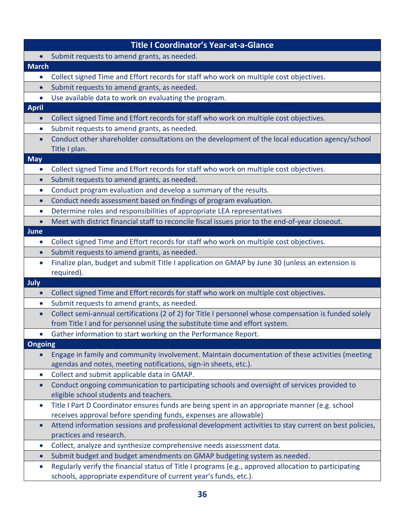|                | <b>Title I Coordinator's Year-at-a-Glance</b>                                                                                                                             |
|----------------|---------------------------------------------------------------------------------------------------------------------------------------------------------------------------|
|                | Submit requests to amend grants, as needed.                                                                                                                               |
| <b>March</b>   |                                                                                                                                                                           |
| $\bullet$      | Collect signed Time and Effort records for staff who work on multiple cost objectives.                                                                                    |
| $\bullet$      | Submit requests to amend grants, as needed.                                                                                                                               |
| $\bullet$      | Use available data to work on evaluating the program.                                                                                                                     |
| <b>April</b>   |                                                                                                                                                                           |
| $\bullet$      | Collect signed Time and Effort records for staff who work on multiple cost objectives.                                                                                    |
| $\bullet$      | Submit requests to amend grants, as needed.                                                                                                                               |
| $\bullet$      | Conduct other shareholder consultations on the development of the local education agency/school<br>Title I plan.                                                          |
| <b>May</b>     |                                                                                                                                                                           |
| $\bullet$      | Collect signed Time and Effort records for staff who work on multiple cost objectives.                                                                                    |
| $\bullet$      | Submit requests to amend grants, as needed.                                                                                                                               |
| $\bullet$      | Conduct program evaluation and develop a summary of the results.                                                                                                          |
| $\bullet$      | Conduct needs assessment based on findings of program evaluation.                                                                                                         |
| $\bullet$      | Determine roles and responsibilities of appropriate LEA representatives                                                                                                   |
| $\bullet$      | Meet with district financial staff to reconcile fiscal issues prior to the end-of-year closeout.                                                                          |
| <b>June</b>    |                                                                                                                                                                           |
| $\bullet$      | Collect signed Time and Effort records for staff who work on multiple cost objectives.                                                                                    |
| $\bullet$      | Submit requests to amend grants, as needed.                                                                                                                               |
| $\bullet$      | Finalize plan, budget and submit Title I application on GMAP by June 30 (unless an extension is<br>required).                                                             |
| July           |                                                                                                                                                                           |
| $\bullet$      | Collect signed Time and Effort records for staff who work on multiple cost objectives.                                                                                    |
| $\bullet$      | Submit requests to amend grants, as needed.                                                                                                                               |
| $\bullet$      | Collect semi-annual certifications (2 of 2) for Title I personnel whose compensation is funded solely                                                                     |
|                | from Title I and for personnel using the substitute time and effort system.<br>Gather information to start working on the Performance Report.                             |
| <b>Ongoing</b> |                                                                                                                                                                           |
|                | Engage in family and community involvement. Maintain documentation of these activities (meeting<br>agendas and notes, meeting notifications, sign-in sheets, etc.).       |
| $\bullet$      | Collect and submit applicable data in GMAP.                                                                                                                               |
| $\bullet$      | Conduct ongoing communication to participating schools and oversight of services provided to<br>eligible school students and teachers.                                    |
| $\bullet$      | Title I Part D Coordinator ensures funds are being spent in an appropriate manner (e.g. school<br>receives approval before spending funds, expenses are allowable)        |
| $\bullet$      | Attend information sessions and professional development activities to stay current on best policies,<br>practices and research.                                          |
| $\bullet$      | Collect, analyze and synthesize comprehensive needs assessment data.                                                                                                      |
| $\bullet$      | Submit budget and budget amendments on GMAP budgeting system as needed.                                                                                                   |
| $\bullet$      | Regularly verify the financial status of Title I programs (e.g., approved allocation to participating<br>schools, appropriate expenditure of current year's funds, etc.). |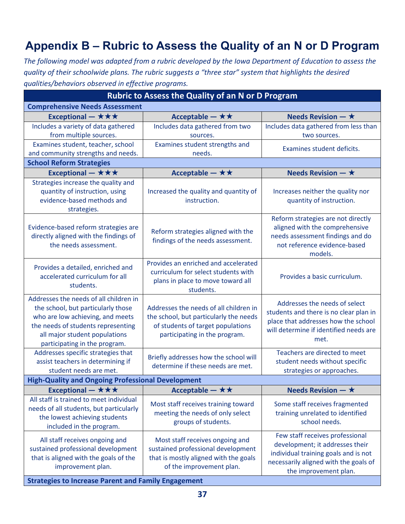# <span id="page-36-0"></span>**Appendix B – Rubric to Assess the Quality of an N or D Program**

*The following model was adapted from a rubric developed by the Iowa Department of Education to assess the quality of their schoolwide plans. The rubric suggests a "three star" system that highlights the desired qualities/behaviors observed in effective programs.*

| <b>Rubric to Assess the Quality of an N or D Program</b>                                                                                                                                                                 |                                                                                                                                                        |                                                                                                                                                                              |
|--------------------------------------------------------------------------------------------------------------------------------------------------------------------------------------------------------------------------|--------------------------------------------------------------------------------------------------------------------------------------------------------|------------------------------------------------------------------------------------------------------------------------------------------------------------------------------|
| <b>Comprehensive Needs Assessment</b>                                                                                                                                                                                    |                                                                                                                                                        |                                                                                                                                                                              |
| Exceptional $-\star\star\star$                                                                                                                                                                                           | Acceptable $- \star \star$                                                                                                                             | Needs Revision $ \star$                                                                                                                                                      |
| Includes a variety of data gathered<br>from multiple sources.                                                                                                                                                            | Includes data gathered from two<br>sources.                                                                                                            | Includes data gathered from less than<br>two sources.                                                                                                                        |
| Examines student, teacher, school<br>and community strengths and needs.                                                                                                                                                  | Examines student strengths and<br>needs.                                                                                                               | Examines student deficits.                                                                                                                                                   |
| <b>School Reform Strategies</b>                                                                                                                                                                                          |                                                                                                                                                        |                                                                                                                                                                              |
| Exceptional $-\star\star\star$                                                                                                                                                                                           | Acceptable $- \star \star$                                                                                                                             | Needs Revision $ \star$                                                                                                                                                      |
| Strategies increase the quality and<br>quantity of instruction, using<br>evidence-based methods and<br>strategies.                                                                                                       | Increased the quality and quantity of<br>instruction.                                                                                                  | Increases neither the quality nor<br>quantity of instruction.                                                                                                                |
| Evidence-based reform strategies are<br>directly aligned with the findings of<br>the needs assessment.                                                                                                                   | Reform strategies aligned with the<br>findings of the needs assessment.                                                                                | Reform strategies are not directly<br>aligned with the comprehensive<br>needs assessment findings and do<br>not reference evidence-based<br>models.                          |
| Provides a detailed, enriched and<br>accelerated curriculum for all<br>students.                                                                                                                                         | Provides an enriched and accelerated<br>curriculum for select students with<br>plans in place to move toward all<br>students.                          | Provides a basic curriculum.                                                                                                                                                 |
| Addresses the needs of all children in<br>the school, but particularly those<br>who are low achieving, and meets<br>the needs of students representing<br>all major student populations<br>participating in the program. | Addresses the needs of all children in<br>the school, but particularly the needs<br>of students of target populations<br>participating in the program. | Addresses the needs of select<br>students and there is no clear plan in<br>place that addresses how the school<br>will determine if identified needs are<br>met.             |
| Addresses specific strategies that<br>assist teachers in determining if<br>student needs are met.                                                                                                                        | Briefly addresses how the school will<br>determine if these needs are met.                                                                             | Teachers are directed to meet<br>student needs without specific<br>strategies or approaches.                                                                                 |
| <b>High-Quality and Ongoing Professional Development</b>                                                                                                                                                                 |                                                                                                                                                        |                                                                                                                                                                              |
| Exceptional - $\star \star \star$                                                                                                                                                                                        | Acceptable - $\star\star$                                                                                                                              | <b>Needs Revision - <math>\star</math></b>                                                                                                                                   |
| All staff is trained to meet individual<br>needs of all students, but particularly<br>the lowest achieving students<br>included in the program.                                                                          | Most staff receives training toward<br>meeting the needs of only select<br>groups of students.                                                         | Some staff receives fragmented<br>training unrelated to identified<br>school needs.                                                                                          |
| All staff receives ongoing and<br>sustained professional development<br>that is aligned with the goals of the<br>improvement plan.                                                                                       | Most staff receives ongoing and<br>sustained professional development<br>that is mostly aligned with the goals<br>of the improvement plan.             | Few staff receives professional<br>development; it addresses their<br>individual training goals and is not<br>necessarily aligned with the goals of<br>the improvement plan. |
| <b>Strategies to Increase Parent and Family Engagement</b>                                                                                                                                                               |                                                                                                                                                        |                                                                                                                                                                              |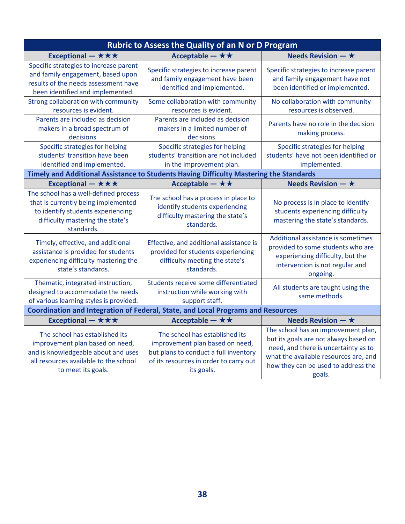| Rubric to Assess the Quality of an N or D Program                                                                                                                       |                                                                                                                                                                    |                                                                                                                                                                                                                |  |
|-------------------------------------------------------------------------------------------------------------------------------------------------------------------------|--------------------------------------------------------------------------------------------------------------------------------------------------------------------|----------------------------------------------------------------------------------------------------------------------------------------------------------------------------------------------------------------|--|
| Exceptional - $\star \star \star$                                                                                                                                       | Acceptable - $\star\star$                                                                                                                                          | Needs Revision $ \star$                                                                                                                                                                                        |  |
| Specific strategies to increase parent<br>and family engagement, based upon<br>results of the needs assessment have<br>been identified and implemented.                 | Specific strategies to increase parent<br>and family engagement have been<br>identified and implemented.                                                           | Specific strategies to increase parent<br>and family engagement have not<br>been identified or implemented.                                                                                                    |  |
| Strong collaboration with community<br>resources is evident.                                                                                                            | Some collaboration with community<br>resources is evident.                                                                                                         | No collaboration with community<br>resources is observed.                                                                                                                                                      |  |
| Parents are included as decision<br>makers in a broad spectrum of<br>decisions.                                                                                         | Parents are included as decision<br>makers in a limited number of<br>decisions.                                                                                    | Parents have no role in the decision<br>making process.                                                                                                                                                        |  |
| Specific strategies for helping<br>students' transition have been<br>identified and implemented.                                                                        | Specific strategies for helping<br>students' transition are not included<br>in the improvement plan.                                                               | Specific strategies for helping<br>students' have not been identified or<br>implemented.                                                                                                                       |  |
|                                                                                                                                                                         | Timely and Additional Assistance to Students Having Difficulty Mastering the Standards                                                                             |                                                                                                                                                                                                                |  |
| Exceptional - $\star \star \star$                                                                                                                                       | Acceptable - $\star \star$                                                                                                                                         | Needs Revision $ \star$                                                                                                                                                                                        |  |
| The school has a well-defined process<br>that is currently being implemented<br>to identify students experiencing<br>difficulty mastering the state's<br>standards.     | The school has a process in place to<br>identify students experiencing<br>difficulty mastering the state's<br>standards.                                           | No process is in place to identify<br>students experiencing difficulty<br>mastering the state's standards.                                                                                                     |  |
| Timely, effective, and additional<br>assistance is provided for students<br>experiencing difficulty mastering the<br>state's standards.                                 | Effective, and additional assistance is<br>provided for students experiencing<br>difficulty meeting the state's<br>standards.                                      | Additional assistance is sometimes<br>provided to some students who are<br>experiencing difficulty, but the<br>intervention is not regular and<br>ongoing.                                                     |  |
| Thematic, integrated instruction,<br>designed to accommodate the needs<br>of various learning styles is provided.                                                       | Students receive some differentiated<br>instruction while working with<br>support staff.                                                                           | All students are taught using the<br>same methods.                                                                                                                                                             |  |
| <b>Coordination and Integration of Federal, State, and Local Programs and Resources</b>                                                                                 |                                                                                                                                                                    |                                                                                                                                                                                                                |  |
| Exceptional - $\star \star \star$                                                                                                                                       | Acceptable - $\star\star$                                                                                                                                          | Needs Revision $ \star$                                                                                                                                                                                        |  |
| The school has established its<br>improvement plan based on need,<br>and is knowledgeable about and uses<br>all resources available to the school<br>to meet its goals. | The school has established its<br>improvement plan based on need,<br>but plans to conduct a full inventory<br>of its resources in order to carry out<br>its goals. | The school has an improvement plan,<br>but its goals are not always based on<br>need, and there is uncertainty as to<br>what the available resources are, and<br>how they can be used to address the<br>goals. |  |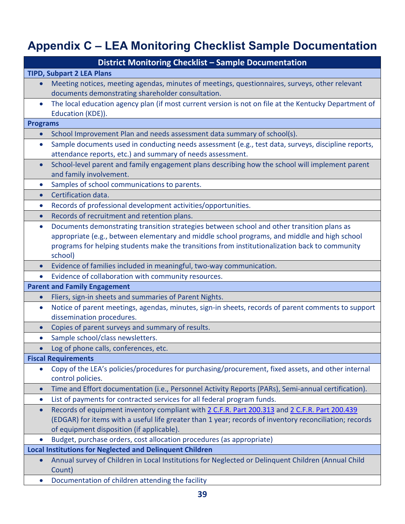# <span id="page-38-0"></span>**Appendix C – LEA Monitoring Checklist Sample Documentation**

|                 | <b>District Monitoring Checklist - Sample Documentation</b>                                                  |
|-----------------|--------------------------------------------------------------------------------------------------------------|
|                 | <b>TIPD, Subpart 2 LEA Plans</b>                                                                             |
| $\bullet$       | Meeting notices, meeting agendas, minutes of meetings, questionnaires, surveys, other relevant               |
|                 | documents demonstrating shareholder consultation.                                                            |
| $\bullet$       | The local education agency plan (if most current version is not on file at the Kentucky Department of        |
|                 | Education (KDE)).                                                                                            |
| <b>Programs</b> |                                                                                                              |
|                 | School Improvement Plan and needs assessment data summary of school(s).                                      |
| $\bullet$       | Sample documents used in conducting needs assessment (e.g., test data, surveys, discipline reports,          |
|                 | attendance reports, etc.) and summary of needs assessment.                                                   |
| $\bullet$       | School-level parent and family engagement plans describing how the school will implement parent              |
|                 | and family involvement.                                                                                      |
|                 | Samples of school communications to parents.                                                                 |
| $\bullet$       | Certification data.                                                                                          |
| $\bullet$       | Records of professional development activities/opportunities.                                                |
| $\bullet$       | Records of recruitment and retention plans.                                                                  |
| $\bullet$       | Documents demonstrating transition strategies between school and other transition plans as                   |
|                 | appropriate (e.g., between elementary and middle school programs, and middle and high school                 |
|                 | programs for helping students make the transitions from institutionalization back to community               |
|                 | school)                                                                                                      |
| $\bullet$       | Evidence of families included in meaningful, two-way communication.                                          |
|                 | Evidence of collaboration with community resources.                                                          |
|                 | <b>Parent and Family Engagement</b>                                                                          |
| $\bullet$       | Fliers, sign-in sheets and summaries of Parent Nights.                                                       |
| $\bullet$       | Notice of parent meetings, agendas, minutes, sign-in sheets, records of parent comments to support           |
|                 | dissemination procedures.                                                                                    |
|                 | Copies of parent surveys and summary of results.                                                             |
| $\bullet$       | Sample school/class newsletters.                                                                             |
|                 | Log of phone calls, conferences, etc.                                                                        |
|                 | <b>Fiscal Requirements</b>                                                                                   |
| $\bullet$       | Copy of the LEA's policies/procedures for purchasing/procurement, fixed assets, and other internal           |
|                 | control policies.                                                                                            |
| $\bullet$       | Time and Effort documentation (i.e., Personnel Activity Reports (PARs), Semi-annual certification).          |
| $\bullet$       | List of payments for contracted services for all federal program funds.                                      |
| $\bullet$       | Records of equipment inventory compliant with 2 C.F.R. Part 200.313 and 2 C.F.R. Part 200.439                |
|                 | (EDGAR) for items with a useful life greater than 1 year; records of inventory reconciliation; records       |
|                 | of equipment disposition (if applicable).                                                                    |
|                 | Budget, purchase orders, cost allocation procedures (as appropriate)                                         |
|                 | <b>Local Institutions for Neglected and Delinquent Children</b>                                              |
|                 | Annual survey of Children in Local Institutions for Neglected or Delinquent Children (Annual Child<br>Count) |
| $\bullet$       | Documentation of children attending the facility                                                             |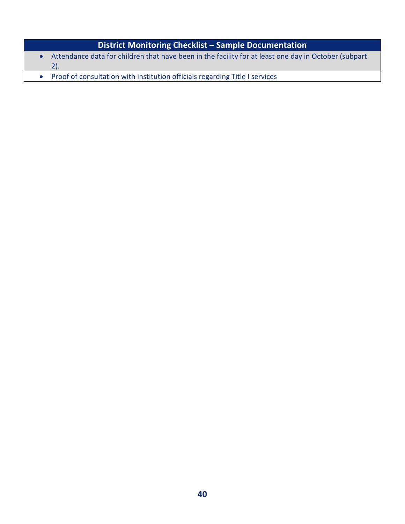# **District Monitoring Checklist – Sample Documentation**

- Attendance data for children that have been in the facility for at least one day in October (subpart 2).
- Proof of consultation with institution officials regarding Title I services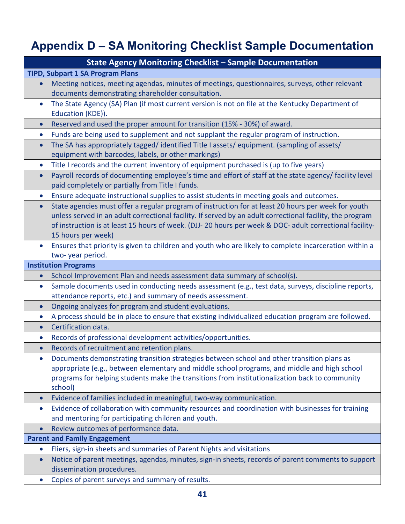# <span id="page-40-0"></span>**Appendix D – SA Monitoring Checklist Sample Documentation**

|           | <b>State Agency Monitoring Checklist - Sample Documentation</b>                                                                                                                                                                                                                                                                                   |  |  |
|-----------|---------------------------------------------------------------------------------------------------------------------------------------------------------------------------------------------------------------------------------------------------------------------------------------------------------------------------------------------------|--|--|
|           | <b>TIPD, Subpart 1 SA Program Plans</b>                                                                                                                                                                                                                                                                                                           |  |  |
| $\bullet$ | Meeting notices, meeting agendas, minutes of meetings, questionnaires, surveys, other relevant<br>documents demonstrating shareholder consultation.                                                                                                                                                                                               |  |  |
| $\bullet$ | The State Agency (SA) Plan (if most current version is not on file at the Kentucky Department of<br>Education (KDE)).                                                                                                                                                                                                                             |  |  |
| $\bullet$ | Reserved and used the proper amount for transition (15% - 30%) of award.                                                                                                                                                                                                                                                                          |  |  |
| $\bullet$ | Funds are being used to supplement and not supplant the regular program of instruction.                                                                                                                                                                                                                                                           |  |  |
| $\bullet$ | The SA has appropriately tagged/identified Title I assets/equipment. (sampling of assets/<br>equipment with barcodes, labels, or other markings)                                                                                                                                                                                                  |  |  |
| $\bullet$ | Title I records and the current inventory of equipment purchased is (up to five years)                                                                                                                                                                                                                                                            |  |  |
| $\bullet$ | Payroll records of documenting employee's time and effort of staff at the state agency/ facility level<br>paid completely or partially from Title I funds.                                                                                                                                                                                        |  |  |
| $\bullet$ | Ensure adequate instructional supplies to assist students in meeting goals and outcomes.                                                                                                                                                                                                                                                          |  |  |
| $\bullet$ | State agencies must offer a regular program of instruction for at least 20 hours per week for youth<br>unless served in an adult correctional facility. If served by an adult correctional facility, the program<br>of instruction is at least 15 hours of week. (DJJ-20 hours per week & DOC- adult correctional facility-<br>15 hours per week) |  |  |
| $\bullet$ | Ensures that priority is given to children and youth who are likely to complete incarceration within a<br>two-year period.                                                                                                                                                                                                                        |  |  |
|           | <b>Institution Programs</b>                                                                                                                                                                                                                                                                                                                       |  |  |
| $\bullet$ | School Improvement Plan and needs assessment data summary of school(s).                                                                                                                                                                                                                                                                           |  |  |
| $\bullet$ | Sample documents used in conducting needs assessment (e.g., test data, surveys, discipline reports,                                                                                                                                                                                                                                               |  |  |
|           | attendance reports, etc.) and summary of needs assessment.                                                                                                                                                                                                                                                                                        |  |  |
| $\bullet$ | Ongoing analyzes for program and student evaluations.                                                                                                                                                                                                                                                                                             |  |  |
| $\bullet$ | A process should be in place to ensure that existing individualized education program are followed.                                                                                                                                                                                                                                               |  |  |
| $\bullet$ | Certification data.                                                                                                                                                                                                                                                                                                                               |  |  |
| $\bullet$ | Records of professional development activities/opportunities.                                                                                                                                                                                                                                                                                     |  |  |
| $\bullet$ | Records of recruitment and retention plans.                                                                                                                                                                                                                                                                                                       |  |  |
| $\bullet$ | Documents demonstrating transition strategies between school and other transition plans as<br>appropriate (e.g., between elementary and middle school programs, and middle and high school<br>programs for helping students make the transitions from institutionalization back to community<br>school)                                           |  |  |
| $\bullet$ | Evidence of families included in meaningful, two-way communication.                                                                                                                                                                                                                                                                               |  |  |
| $\bullet$ | Evidence of collaboration with community resources and coordination with businesses for training<br>and mentoring for participating children and youth.                                                                                                                                                                                           |  |  |
| $\bullet$ | Review outcomes of performance data.                                                                                                                                                                                                                                                                                                              |  |  |
|           | <b>Parent and Family Engagement</b>                                                                                                                                                                                                                                                                                                               |  |  |
| $\bullet$ | Fliers, sign-in sheets and summaries of Parent Nights and visitations                                                                                                                                                                                                                                                                             |  |  |
| $\bullet$ | Notice of parent meetings, agendas, minutes, sign-in sheets, records of parent comments to support<br>dissemination procedures.                                                                                                                                                                                                                   |  |  |
| $\bullet$ | Copies of parent surveys and summary of results.                                                                                                                                                                                                                                                                                                  |  |  |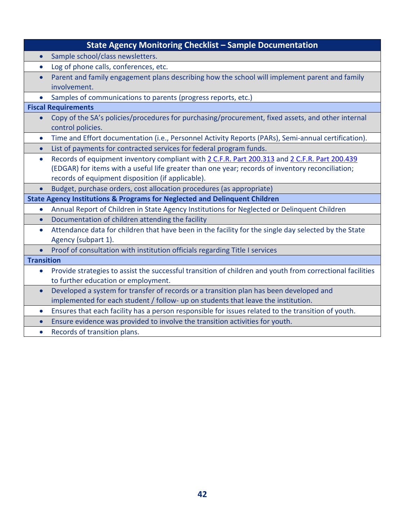| <b>State Agency Monitoring Checklist - Sample Documentation</b>                                                                          |
|------------------------------------------------------------------------------------------------------------------------------------------|
| Sample school/class newsletters.                                                                                                         |
| Log of phone calls, conferences, etc.<br>$\bullet$                                                                                       |
| Parent and family engagement plans describing how the school will implement parent and family<br>$\bullet$                               |
| involvement.                                                                                                                             |
| Samples of communications to parents (progress reports, etc.)                                                                            |
| <b>Fiscal Requirements</b>                                                                                                               |
| Copy of the SA's policies/procedures for purchasing/procurement, fixed assets, and other internal<br>control policies.                   |
| Time and Effort documentation (i.e., Personnel Activity Reports (PARs), Semi-annual certification).<br>$\bullet$                         |
| List of payments for contracted services for federal program funds.<br>$\bullet$                                                         |
| Records of equipment inventory compliant with 2 C.F.R. Part 200.313 and 2 C.F.R. Part 200.439<br>$\bullet$                               |
| (EDGAR) for items with a useful life greater than one year; records of inventory reconciliation;                                         |
| records of equipment disposition (if applicable).                                                                                        |
| Budget, purchase orders, cost allocation procedures (as appropriate)                                                                     |
| <b>State Agency Institutions &amp; Programs for Neglected and Delinquent Children</b>                                                    |
| Annual Report of Children in State Agency Institutions for Neglected or Delinquent Children<br>$\bullet$                                 |
| Documentation of children attending the facility<br>$\bullet$                                                                            |
| Attendance data for children that have been in the facility for the single day selected by the State<br>$\bullet$<br>Agency (subpart 1). |
| Proof of consultation with institution officials regarding Title I services                                                              |
| <b>Transition</b>                                                                                                                        |
| Provide strategies to assist the successful transition of children and youth from correctional facilities<br>$\bullet$                   |
| to further education or employment.                                                                                                      |
| Developed a system for transfer of records or a transition plan has been developed and<br>$\bullet$                                      |
| implemented for each student / follow- up on students that leave the institution.                                                        |
| Ensures that each facility has a person responsible for issues related to the transition of youth.<br>$\bullet$                          |
| Ensure evidence was provided to involve the transition activities for youth.<br>$\bullet$                                                |
| Records of transition plans.<br>$\bullet$                                                                                                |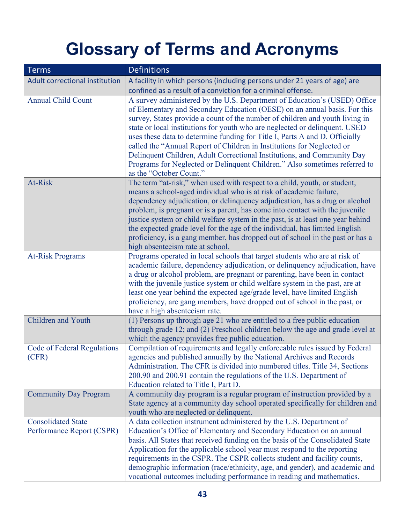# **Glossary of Terms and Acronyms**

<span id="page-42-0"></span>

| <b>Terms</b>                                           | <b>Definitions</b>                                                                                                                                                                                                                                                                                                                                                                                                                                                                                                                                                                                                                                                 |
|--------------------------------------------------------|--------------------------------------------------------------------------------------------------------------------------------------------------------------------------------------------------------------------------------------------------------------------------------------------------------------------------------------------------------------------------------------------------------------------------------------------------------------------------------------------------------------------------------------------------------------------------------------------------------------------------------------------------------------------|
| Adult correctional institution                         | A facility in which persons (including persons under 21 years of age) are<br>confined as a result of a conviction for a criminal offense.                                                                                                                                                                                                                                                                                                                                                                                                                                                                                                                          |
| <b>Annual Child Count</b>                              | A survey administered by the U.S. Department of Education's (USED) Office<br>of Elementary and Secondary Education (OESE) on an annual basis. For this<br>survey, States provide a count of the number of children and youth living in<br>state or local institutions for youth who are neglected or delinquent. USED<br>uses these data to determine funding for Title I, Parts A and D. Officially<br>called the "Annual Report of Children in Institutions for Neglected or<br>Delinquent Children, Adult Correctional Institutions, and Community Day<br>Programs for Neglected or Delinquent Children." Also sometimes referred to<br>as the "October Count." |
| At-Risk                                                | The term "at-risk," when used with respect to a child, youth, or student,<br>means a school-aged individual who is at risk of academic failure,<br>dependency adjudication, or delinquency adjudication, has a drug or alcohol<br>problem, is pregnant or is a parent, has come into contact with the juvenile<br>justice system or child welfare system in the past, is at least one year behind<br>the expected grade level for the age of the individual, has limited English<br>proficiency, is a gang member, has dropped out of school in the past or has a<br>high absenteeism rate at school.                                                              |
| <b>At-Risk Programs</b>                                | Programs operated in local schools that target students who are at risk of<br>academic failure, dependency adjudication, or delinquency adjudication, have<br>a drug or alcohol problem, are pregnant or parenting, have been in contact<br>with the juvenile justice system or child welfare system in the past, are at<br>least one year behind the expected age/grade level, have limited English<br>proficiency, are gang members, have dropped out of school in the past, or<br>have a high absenteeism rate.                                                                                                                                                 |
| Children and Youth                                     | (1) Persons up through age 21 who are entitled to a free public education<br>through grade 12; and (2) Preschool children below the age and grade level at<br>which the agency provides free public education.                                                                                                                                                                                                                                                                                                                                                                                                                                                     |
| <b>Code of Federal Regulations</b><br>(CFR)            | Compilation of requirements and legally enforceable rules issued by Federal<br>agencies and published annually by the National Archives and Records<br>Administration. The CFR is divided into numbered titles. Title 34, Sections<br>200.90 and 200.91 contain the regulations of the U.S. Department of<br>Education related to Title I, Part D.                                                                                                                                                                                                                                                                                                                 |
| <b>Community Day Program</b>                           | A community day program is a regular program of instruction provided by a<br>State agency at a community day school operated specifically for children and<br>youth who are neglected or delinquent.                                                                                                                                                                                                                                                                                                                                                                                                                                                               |
| <b>Consolidated State</b><br>Performance Report (CSPR) | A data collection instrument administered by the U.S. Department of<br>Education's Office of Elementary and Secondary Education on an annual<br>basis. All States that received funding on the basis of the Consolidated State<br>Application for the applicable school year must respond to the reporting<br>requirements in the CSPR. The CSPR collects student and facility counts,<br>demographic information (race/ethnicity, age, and gender), and academic and<br>vocational outcomes including performance in reading and mathematics.                                                                                                                     |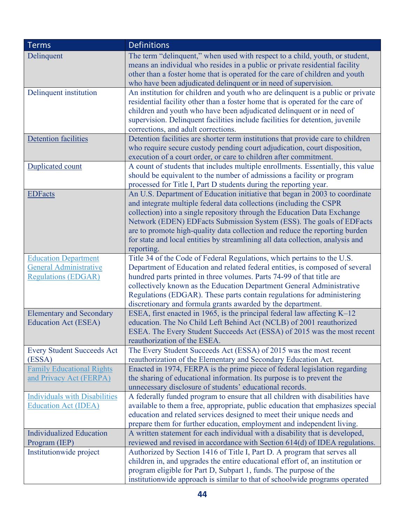| <b>Terms</b>                         | <b>Definitions</b>                                                               |
|--------------------------------------|----------------------------------------------------------------------------------|
| Delinquent                           | The term "delinquent," when used with respect to a child, youth, or student,     |
|                                      | means an individual who resides in a public or private residential facility      |
|                                      | other than a foster home that is operated for the care of children and youth     |
|                                      | who have been adjudicated delinquent or in need of supervision.                  |
| Delinquent institution               | An institution for children and youth who are delinquent is a public or private  |
|                                      | residential facility other than a foster home that is operated for the care of   |
|                                      | children and youth who have been adjudicated delinquent or in need of            |
|                                      | supervision. Delinquent facilities include facilities for detention, juvenile    |
|                                      | corrections, and adult corrections.                                              |
| <b>Detention facilities</b>          | Detention facilities are shorter term institutions that provide care to children |
|                                      | who require secure custody pending court adjudication, court disposition,        |
|                                      | execution of a court order, or care to children after commitment.                |
| Duplicated count                     | A count of students that includes multiple enrollments. Essentially, this value  |
|                                      | should be equivalent to the number of admissions a facility or program           |
|                                      | processed for Title I, Part D students during the reporting year.                |
| <b>EDFacts</b>                       | An U.S. Department of Education initiative that began in 2003 to coordinate      |
|                                      | and integrate multiple federal data collections (including the CSPR              |
|                                      | collection) into a single repository through the Education Data Exchange         |
|                                      | Network (EDEN) EDFacts Submission System (ESS). The goals of EDFacts             |
|                                      | are to promote high-quality data collection and reduce the reporting burden      |
|                                      | for state and local entities by streamlining all data collection, analysis and   |
|                                      | reporting.                                                                       |
| <b>Education Department</b>          | Title 34 of the Code of Federal Regulations, which pertains to the U.S.          |
| <b>General Administrative</b>        | Department of Education and related federal entities, is composed of several     |
| <b>Regulations (EDGAR)</b>           | hundred parts printed in three volumes. Parts 74-99 of that title are            |
|                                      | collectively known as the Education Department General Administrative            |
|                                      | Regulations (EDGAR). These parts contain regulations for administering           |
|                                      | discretionary and formula grants awarded by the department.                      |
| <b>Elementary and Secondary</b>      | ESEA, first enacted in 1965, is the principal federal law affecting $K-12$       |
| <b>Education Act (ESEA)</b>          | education. The No Child Left Behind Act (NCLB) of 2001 reauthorized              |
|                                      | ESEA. The Every Student Succeeds Act (ESSA) of 2015 was the most recent          |
|                                      | reauthorization of the ESEA.                                                     |
| <b>Every Student Succeeds Act</b>    | The Every Student Succeeds Act (ESSA) of 2015 was the most recent                |
| (ESSA)                               | reauthorization of the Elementary and Secondary Education Act.                   |
| <b>Family Educational Rights</b>     | Enacted in 1974, FERPA is the prime piece of federal legislation regarding       |
| and Privacy Act (FERPA)              | the sharing of educational information. Its purpose is to prevent the            |
|                                      | unnecessary disclosure of students' educational records.                         |
| <b>Individuals with Disabilities</b> | A federally funded program to ensure that all children with disabilities have    |
| <b>Education Act (IDEA)</b>          | available to them a free, appropriate, public education that emphasizes special  |
|                                      | education and related services designed to meet their unique needs and           |
|                                      | prepare them for further education, employment and independent living.           |
| <b>Individualized Education</b>      | A written statement for each individual with a disability that is developed,     |
| Program (IEP)                        | reviewed and revised in accordance with Section 614(d) of IDEA regulations.      |
| Institutionwide project              | Authorized by Section 1416 of Title I, Part D. A program that serves all         |
|                                      | children in, and upgrades the entire educational effort of, an institution or    |
|                                      | program eligible for Part D, Subpart 1, funds. The purpose of the                |
|                                      | institutionwide approach is similar to that of schoolwide programs operated      |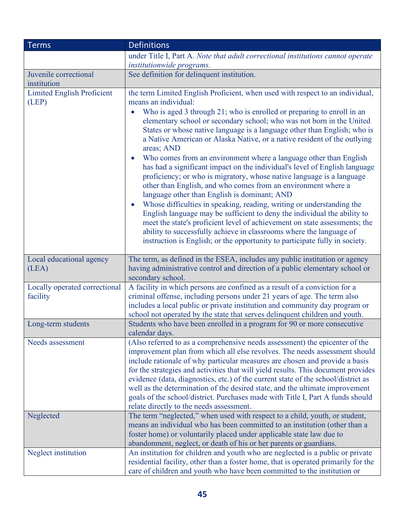| <b>Terms</b>                              | <b>Definitions</b>                                                                                                                                                                                                                                                                                                                                                                                                                                                                                                                                                                                                                                                                                                                                                                                                                                                                                                                                                                                                                                                                  |
|-------------------------------------------|-------------------------------------------------------------------------------------------------------------------------------------------------------------------------------------------------------------------------------------------------------------------------------------------------------------------------------------------------------------------------------------------------------------------------------------------------------------------------------------------------------------------------------------------------------------------------------------------------------------------------------------------------------------------------------------------------------------------------------------------------------------------------------------------------------------------------------------------------------------------------------------------------------------------------------------------------------------------------------------------------------------------------------------------------------------------------------------|
|                                           | under Title I, Part A. Note that adult correctional institutions cannot operate                                                                                                                                                                                                                                                                                                                                                                                                                                                                                                                                                                                                                                                                                                                                                                                                                                                                                                                                                                                                     |
|                                           | institutionwide programs.                                                                                                                                                                                                                                                                                                                                                                                                                                                                                                                                                                                                                                                                                                                                                                                                                                                                                                                                                                                                                                                           |
| Juvenile correctional                     | See definition for delinquent institution.                                                                                                                                                                                                                                                                                                                                                                                                                                                                                                                                                                                                                                                                                                                                                                                                                                                                                                                                                                                                                                          |
| institution                               |                                                                                                                                                                                                                                                                                                                                                                                                                                                                                                                                                                                                                                                                                                                                                                                                                                                                                                                                                                                                                                                                                     |
| <b>Limited English Proficient</b>         | the term Limited English Proficient, when used with respect to an individual,                                                                                                                                                                                                                                                                                                                                                                                                                                                                                                                                                                                                                                                                                                                                                                                                                                                                                                                                                                                                       |
| (LEP)                                     | means an individual:<br>Who is aged 3 through 21; who is enrolled or preparing to enroll in an<br>elementary school or secondary school; who was not born in the United<br>States or whose native language is a language other than English; who is<br>a Native American or Alaska Native, or a native resident of the outlying<br>areas; AND<br>Who comes from an environment where a language other than English<br>has had a significant impact on the individual's level of English language<br>proficiency; or who is migratory, whose native language is a language<br>other than English, and who comes from an environment where a<br>language other than English is dominant; AND<br>Whose difficulties in speaking, reading, writing or understanding the<br>English language may be sufficient to deny the individual the ability to<br>meet the state's proficient level of achievement on state assessments; the<br>ability to successfully achieve in classrooms where the language of<br>instruction is English; or the opportunity to participate fully in society. |
| Local educational agency<br>(LEA)         | The term, as defined in the ESEA, includes any public institution or agency<br>having administrative control and direction of a public elementary school or<br>secondary school.                                                                                                                                                                                                                                                                                                                                                                                                                                                                                                                                                                                                                                                                                                                                                                                                                                                                                                    |
| Locally operated correctional<br>facility | A facility in which persons are confined as a result of a conviction for a<br>criminal offense, including persons under 21 years of age. The term also<br>includes a local public or private institution and community day program or<br>school not operated by the state that serves delinquent children and youth.                                                                                                                                                                                                                                                                                                                                                                                                                                                                                                                                                                                                                                                                                                                                                                |
| Long-term students                        | Students who have been enrolled in a program for 90 or more consecutive<br>calendar days.                                                                                                                                                                                                                                                                                                                                                                                                                                                                                                                                                                                                                                                                                                                                                                                                                                                                                                                                                                                           |
| Needs assessment                          | (Also referred to as a comprehensive needs assessment) the epicenter of the<br>improvement plan from which all else revolves. The needs assessment should<br>include rationale of why particular measures are chosen and provide a basis<br>for the strategies and activities that will yield results. This document provides<br>evidence (data, diagnostics, etc.) of the current state of the school/district as<br>well as the determination of the desired state, and the ultimate improvement<br>goals of the school/district. Purchases made with Title I, Part A funds should<br>relate directly to the needs assessment.                                                                                                                                                                                                                                                                                                                                                                                                                                                    |
| Neglected                                 | The term "neglected," when used with respect to a child, youth, or student,<br>means an individual who has been committed to an institution (other than a<br>foster home) or voluntarily placed under applicable state law due to<br>abandonment, neglect, or death of his or her parents or guardians.                                                                                                                                                                                                                                                                                                                                                                                                                                                                                                                                                                                                                                                                                                                                                                             |
| Neglect institution                       | An institution for children and youth who are neglected is a public or private<br>residential facility, other than a foster home, that is operated primarily for the<br>care of children and youth who have been committed to the institution or                                                                                                                                                                                                                                                                                                                                                                                                                                                                                                                                                                                                                                                                                                                                                                                                                                    |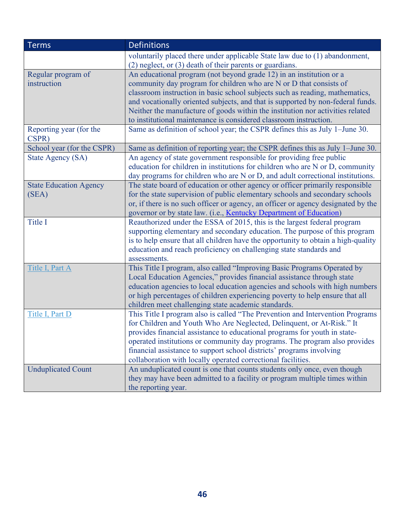| <b>Terms</b>                     | <b>Definitions</b>                                                                                                                             |
|----------------------------------|------------------------------------------------------------------------------------------------------------------------------------------------|
|                                  | voluntarily placed there under applicable State law due to (1) abandonment,<br>$(2)$ neglect, or $(3)$ death of their parents or guardians.    |
| Regular program of               | An educational program (not beyond grade 12) in an institution or a                                                                            |
| instruction                      | community day program for children who are N or D that consists of                                                                             |
|                                  | classroom instruction in basic school subjects such as reading, mathematics,                                                                   |
|                                  | and vocationally oriented subjects, and that is supported by non-federal funds.                                                                |
|                                  | Neither the manufacture of goods within the institution nor activities related                                                                 |
|                                  | to institutional maintenance is considered classroom instruction.                                                                              |
| Reporting year (for the<br>CSPR) | Same as definition of school year; the CSPR defines this as July 1-June 30.                                                                    |
| School year (for the CSPR)       | Same as definition of reporting year; the CSPR defines this as July 1–June 30.                                                                 |
| <b>State Agency (SA)</b>         | An agency of state government responsible for providing free public                                                                            |
|                                  | education for children in institutions for children who are N or D, community                                                                  |
|                                  | day programs for children who are N or D, and adult correctional institutions.                                                                 |
| <b>State Education Agency</b>    | The state board of education or other agency or officer primarily responsible                                                                  |
| (SEA)                            | for the state supervision of public elementary schools and secondary schools                                                                   |
|                                  | or, if there is no such officer or agency, an officer or agency designated by the                                                              |
| Title I                          | governor or by state law. (i.e., Kentucky Department of Education)<br>Reauthorized under the ESSA of 2015, this is the largest federal program |
|                                  | supporting elementary and secondary education. The purpose of this program                                                                     |
|                                  | is to help ensure that all children have the opportunity to obtain a high-quality                                                              |
|                                  | education and reach proficiency on challenging state standards and                                                                             |
|                                  | assessments.                                                                                                                                   |
| Title I, Part A                  | This Title I program, also called "Improving Basic Programs Operated by                                                                        |
|                                  | Local Education Agencies," provides financial assistance through state                                                                         |
|                                  | education agencies to local education agencies and schools with high numbers                                                                   |
|                                  | or high percentages of children experiencing poverty to help ensure that all                                                                   |
|                                  | children meet challenging state academic standards.                                                                                            |
| Title I, Part D                  | This Title I program also is called "The Prevention and Intervention Programs                                                                  |
|                                  | for Children and Youth Who Are Neglected, Delinquent, or At-Risk." It                                                                          |
|                                  | provides financial assistance to educational programs for youth in state-                                                                      |
|                                  | operated institutions or community day programs. The program also provides                                                                     |
|                                  | financial assistance to support school districts' programs involving                                                                           |
|                                  | collaboration with locally operated correctional facilities.                                                                                   |
| <b>Unduplicated Count</b>        | An unduplicated count is one that counts students only once, even though                                                                       |
|                                  | they may have been admitted to a facility or program multiple times within                                                                     |
|                                  | the reporting year.                                                                                                                            |